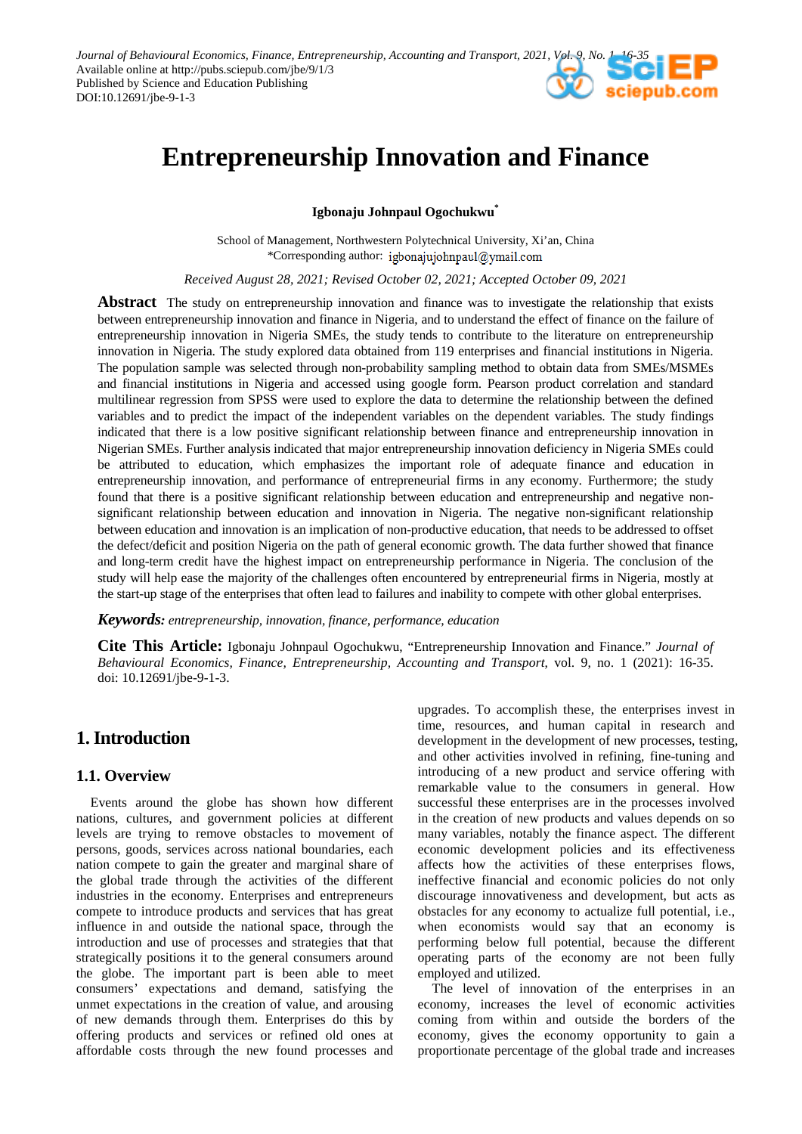*Journal of Behavioural Economics, Finance, Entrepreneurship, Accounting and Transport, 2021, Vol. 9, No. 1, 16-35* Available online at http://pubs.sciepub.com/jbe/9/1/3 Published by Science and Education Publishing DOI:10.12691/jbe-9-1-3

# **Entrepreneurship Innovation and Finance**

**Igbonaju Johnpaul Ogochukwu\***

School of Management, Northwestern Polytechnical University, Xi'an, China \*Corresponding author:

*Received August 28, 2021; Revised October 02, 2021; Accepted October 09, 2021*

**Abstract** The study on entrepreneurship innovation and finance was to investigate the relationship that exists between entrepreneurship innovation and finance in Nigeria, and to understand the effect of finance on the failure of entrepreneurship innovation in Nigeria SMEs, the study tends to contribute to the literature on entrepreneurship innovation in Nigeria. The study explored data obtained from 119 enterprises and financial institutions in Nigeria. The population sample was selected through non-probability sampling method to obtain data from SMEs/MSMEs and financial institutions in Nigeria and accessed using google form. Pearson product correlation and standard multilinear regression from SPSS were used to explore the data to determine the relationship between the defined variables and to predict the impact of the independent variables on the dependent variables. The study findings indicated that there is a low positive significant relationship between finance and entrepreneurship innovation in Nigerian SMEs. Further analysis indicated that major entrepreneurship innovation deficiency in Nigeria SMEs could be attributed to education, which emphasizes the important role of adequate finance and education in entrepreneurship innovation, and performance of entrepreneurial firms in any economy. Furthermore; the study found that there is a positive significant relationship between education and entrepreneurship and negative nonsignificant relationship between education and innovation in Nigeria. The negative non-significant relationship between education and innovation is an implication of non-productive education, that needs to be addressed to offset the defect/deficit and position Nigeria on the path of general economic growth. The data further showed that finance and long-term credit have the highest impact on entrepreneurship performance in Nigeria. The conclusion of the study will help ease the majority of the challenges often encountered by entrepreneurial firms in Nigeria, mostly at the start-up stage of the enterprises that often lead to failures and inability to compete with other global enterprises.

*Keywords: entrepreneurship, innovation, finance, performance, education*

**Cite This Article:** Igbonaju Johnpaul Ogochukwu, "Entrepreneurship Innovation and Finance." *Journal of Behavioural Economics, Finance, Entrepreneurship, Accounting and Transport*, vol. 9, no. 1 (2021): 16-35. doi: 10.12691/jbe-9-1-3.

# **1. Introduction**

# **1.1. Overview**

Events around the globe has shown how different nations, cultures, and government policies at different levels are trying to remove obstacles to movement of persons, goods, services across national boundaries, each nation compete to gain the greater and marginal share of the global trade through the activities of the different industries in the economy. Enterprises and entrepreneurs compete to introduce products and services that has great influence in and outside the national space, through the introduction and use of processes and strategies that that strategically positions it to the general consumers around the globe. The important part is been able to meet consumers' expectations and demand, satisfying the unmet expectations in the creation of value, and arousing of new demands through them. Enterprises do this by offering products and services or refined old ones at affordable costs through the new found processes and upgrades. To accomplish these, the enterprises invest in time, resources, and human capital in research and development in the development of new processes, testing, and other activities involved in refining, fine-tuning and introducing of a new product and service offering with remarkable value to the consumers in general. How successful these enterprises are in the processes involved in the creation of new products and values depends on so many variables, notably the finance aspect. The different economic development policies and its effectiveness affects how the activities of these enterprises flows, ineffective financial and economic policies do not only discourage innovativeness and development, but acts as obstacles for any economy to actualize full potential, i.e., when economists would say that an economy is performing below full potential, because the different operating parts of the economy are not been fully employed and utilized.

The level of innovation of the enterprises in an economy, increases the level of economic activities coming from within and outside the borders of the economy, gives the economy opportunity to gain a proportionate percentage of the global trade and increases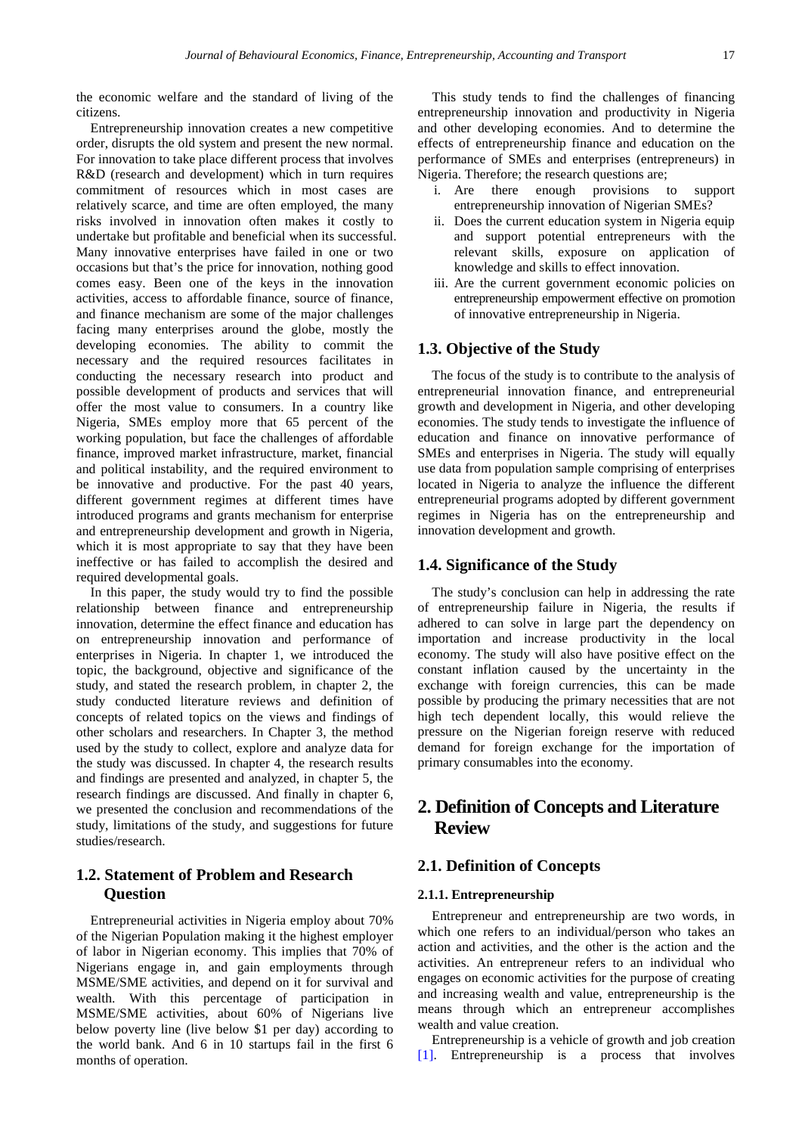the economic welfare and the standard of living of the citizens.

Entrepreneurship innovation creates a new competitive order, disrupts the old system and present the new normal. For innovation to take place different process that involves R&D (research and development) which in turn requires commitment of resources which in most cases are relatively scarce, and time are often employed, the many risks involved in innovation often makes it costly to undertake but profitable and beneficial when its successful. Many innovative enterprises have failed in one or two occasions but that's the price for innovation, nothing good comes easy. Been one of the keys in the innovation activities, access to affordable finance, source of finance, and finance mechanism are some of the major challenges facing many enterprises around the globe, mostly the developing economies. The ability to commit the necessary and the required resources facilitates in conducting the necessary research into product and possible development of products and services that will offer the most value to consumers. In a country like Nigeria, SMEs employ more that 65 percent of the working population, but face the challenges of affordable finance, improved market infrastructure, market, financial and political instability, and the required environment to be innovative and productive. For the past 40 years, different government regimes at different times have introduced programs and grants mechanism for enterprise and entrepreneurship development and growth in Nigeria, which it is most appropriate to say that they have been ineffective or has failed to accomplish the desired and required developmental goals.

In this paper, the study would try to find the possible relationship between finance and entrepreneurship innovation, determine the effect finance and education has on entrepreneurship innovation and performance of enterprises in Nigeria. In chapter 1, we introduced the topic, the background, objective and significance of the study, and stated the research problem, in chapter 2, the study conducted literature reviews and definition of concepts of related topics on the views and findings of other scholars and researchers. In Chapter 3, the method used by the study to collect, explore and analyze data for the study was discussed. In chapter 4, the research results and findings are presented and analyzed, in chapter 5, the research findings are discussed. And finally in chapter 6, we presented the conclusion and recommendations of the study, limitations of the study, and suggestions for future studies/research.

# **1.2. Statement of Problem and Research Question**

Entrepreneurial activities in Nigeria employ about 70% of the Nigerian Population making it the highest employer of labor in Nigerian economy. This implies that 70% of Nigerians engage in, and gain employments through MSME/SME activities, and depend on it for survival and wealth. With this percentage of participation in MSME/SME activities, about 60% of Nigerians live below poverty line (live below \$1 per day) according to the world bank. And 6 in 10 startups fail in the first 6 months of operation.

This study tends to find the challenges of financing entrepreneurship innovation and productivity in Nigeria and other developing economies. And to determine the effects of entrepreneurship finance and education on the performance of SMEs and enterprises (entrepreneurs) in Nigeria. Therefore; the research questions are;

- i. Are there enough provisions to support entrepreneurship innovation of Nigerian SMEs?
- ii. Does the current education system in Nigeria equip and support potential entrepreneurs with the relevant skills, exposure on application of knowledge and skills to effect innovation.
- iii. Are the current government economic policies on entrepreneurship empowerment effective on promotion of innovative entrepreneurship in Nigeria.

# **1.3. Objective of the Study**

The focus of the study is to contribute to the analysis of entrepreneurial innovation finance, and entrepreneurial growth and development in Nigeria, and other developing economies. The study tends to investigate the influence of education and finance on innovative performance of SMEs and enterprises in Nigeria. The study will equally use data from population sample comprising of enterprises located in Nigeria to analyze the influence the different entrepreneurial programs adopted by different government regimes in Nigeria has on the entrepreneurship and innovation development and growth.

### **1.4. Significance of the Study**

The study's conclusion can help in addressing the rate of entrepreneurship failure in Nigeria, the results if adhered to can solve in large part the dependency on importation and increase productivity in the local economy. The study will also have positive effect on the constant inflation caused by the uncertainty in the exchange with foreign currencies, this can be made possible by producing the primary necessities that are not high tech dependent locally, this would relieve the pressure on the Nigerian foreign reserve with reduced demand for foreign exchange for the importation of primary consumables into the economy.

# **2. Definition of Concepts and Literature Review**

### **2.1. Definition of Concepts**

#### **2.1.1. Entrepreneurship**

Entrepreneur and entrepreneurship are two words, in which one refers to an individual/person who takes an action and activities, and the other is the action and the activities. An entrepreneur refers to an individual who engages on economic activities for the purpose of creating and increasing wealth and value, entrepreneurship is the means through which an entrepreneur accomplishes wealth and value creation.

Entrepreneurship is a vehicle of growth and job creation [\[1\].](#page-18-0) Entrepreneurship is a process that involves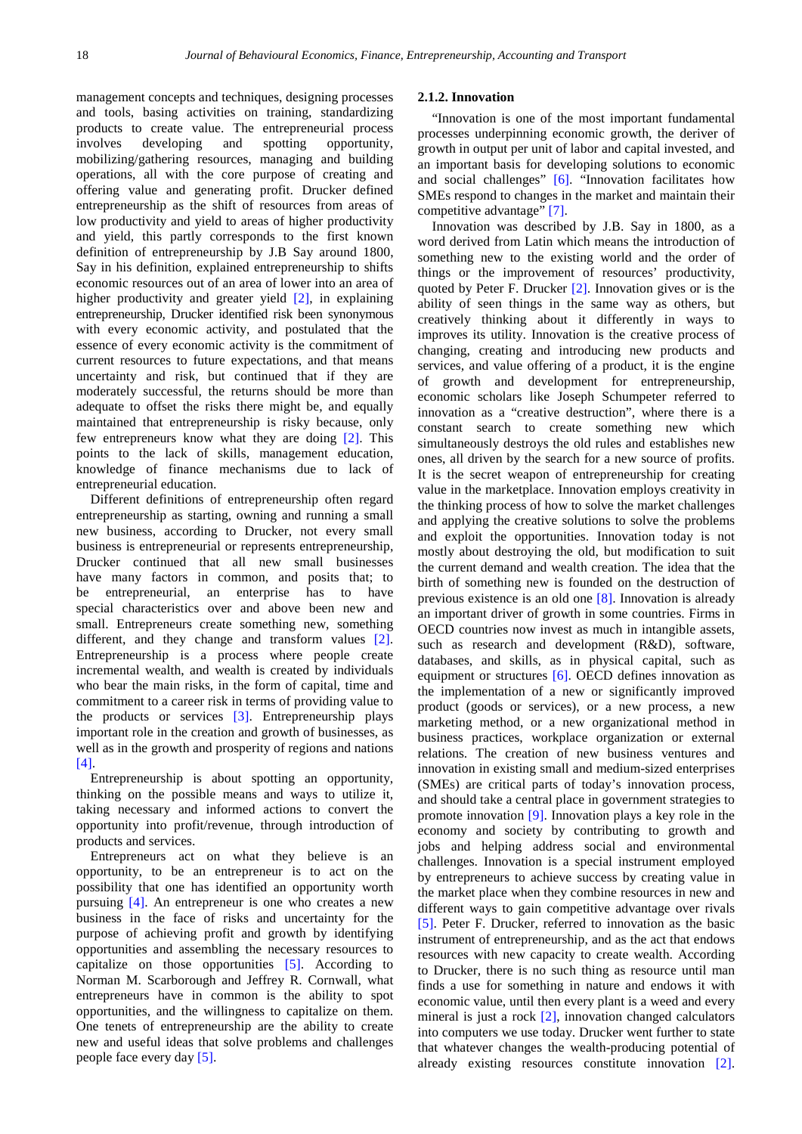management concepts and techniques, designing processes and tools, basing activities on training, standardizing products to create value. The entrepreneurial process involves developing and spotting opportunity, mobilizing/gathering resources, managing and building operations, all with the core purpose of creating and offering value and generating profit. Drucker defined entrepreneurship as the shift of resources from areas of low productivity and yield to areas of higher productivity and yield, this partly corresponds to the first known definition of entrepreneurship by J.B Say around 1800, Say in his definition, explained entrepreneurship to shifts economic resources out of an area of lower into an area of higher productivity and greater yield [\[2\],](#page-18-1) in explaining entrepreneurship, Drucker identified risk been synonymous with every economic activity, and postulated that the essence of every economic activity is the commitment of current resources to future expectations, and that means uncertainty and risk, but continued that if they are moderately successful, the returns should be more than adequate to offset the risks there might be, and equally maintained that entrepreneurship is risky because, only few entrepreneurs know what they are doing [\[2\].](#page-18-1) This points to the lack of skills, management education, knowledge of finance mechanisms due to lack of entrepreneurial education.

Different definitions of entrepreneurship often regard entrepreneurship as starting, owning and running a small new business, according to Drucker, not every small business is entrepreneurial or represents entrepreneurship, Drucker continued that all new small businesses have many factors in common, and posits that; to be entrepreneurial, an enterprise has to have special characteristics over and above been new and small. Entrepreneurs create something new, something different, and they change and transform values [\[2\].](#page-18-1) Entrepreneurship is a process where people create incremental wealth, and wealth is created by individuals who bear the main risks, in the form of capital, time and commitment to a career risk in terms of providing value to the products or services  $\begin{bmatrix} 3 \end{bmatrix}$ . Entrepreneurship plays important role in the creation and growth of businesses, as well as in the growth and prosperity of regions and nations [\[4\].](#page-18-3)

Entrepreneurship is about spotting an opportunity, thinking on the possible means and ways to utilize it, taking necessary and informed actions to convert the opportunity into profit/revenue, through introduction of products and services.

Entrepreneurs act on what they believe is an opportunity, to be an entrepreneur is to act on the possibility that one has identified an opportunity worth pursuing [\[4\].](#page-18-3) An entrepreneur is one who creates a new business in the face of risks and uncertainty for the purpose of achieving profit and growth by identifying opportunities and assembling the necessary resources to capitalize on those opportunities  $[5]$ . According to Norman M. Scarborough and Jeffrey R. Cornwall, what entrepreneurs have in common is the ability to spot opportunities, and the willingness to capitalize on them. One tenets of entrepreneurship are the ability to create new and useful ideas that solve problems and challenges people face every da[y \[5\].](#page-18-4)

#### **2.1.2. Innovation**

"Innovation is one of the most important fundamental processes underpinning economic growth, the deriver of growth in output per unit of labor and capital invested, and an important basis for developing solutions to economic and social challenges" [\[6\].](#page-18-5) "Innovation facilitates how SMEs respond to changes in the market and maintain their competitive advantage" [\[7\].](#page-18-6)

Innovation was described by J.B. Say in 1800, as a word derived from Latin which means the introduction of something new to the existing world and the order of things or the improvement of resources' productivity, quoted by Peter F. Drucker [\[2\].](#page-18-1) Innovation gives or is the ability of seen things in the same way as others, but creatively thinking about it differently in ways to improves its utility. Innovation is the creative process of changing, creating and introducing new products and services, and value offering of a product, it is the engine of growth and development for entrepreneurship, economic scholars like Joseph Schumpeter referred to innovation as a "creative destruction", where there is a constant search to create something new which simultaneously destroys the old rules and establishes new ones, all driven by the search for a new source of profits. It is the secret weapon of entrepreneurship for creating value in the marketplace. Innovation employs creativity in the thinking process of how to solve the market challenges and applying the creative solutions to solve the problems and exploit the opportunities. Innovation today is not mostly about destroying the old, but modification to suit the current demand and wealth creation. The idea that the birth of something new is founded on the destruction of previous existence is an old one [\[8\].](#page-18-7) Innovation is already an important driver of growth in some countries. Firms in OECD countries now invest as much in intangible assets, such as research and development (R&D), software, databases, and skills, as in physical capital, such as equipment or structures [\[6\].](#page-18-5) OECD defines innovation as the implementation of a new or significantly improved product (goods or services), or a new process, a new marketing method, or a new organizational method in business practices, workplace organization or external relations. The creation of new business ventures and innovation in existing small and medium-sized enterprises (SMEs) are critical parts of today's innovation process, and should take a central place in government strategies to promote innovation [\[9\].](#page-18-8) Innovation plays a key role in the economy and society by contributing to growth and jobs and helping address social and environmental challenges. Innovation is a special instrument employed by entrepreneurs to achieve success by creating value in the market place when they combine resources in new and different ways to gain competitive advantage over rivals [\[5\].](#page-18-4) Peter F. Drucker, referred to innovation as the basic instrument of entrepreneurship, and as the act that endows resources with new capacity to create wealth. According to Drucker, there is no such thing as resource until man finds a use for something in nature and endows it with economic value, until then every plant is a weed and every mineral is just a rock [\[2\],](#page-18-1) innovation changed calculators into computers we use today. Drucker went further to state that whatever changes the wealth-producing potential of already existing resources constitute innovation [\[2\].](#page-18-1)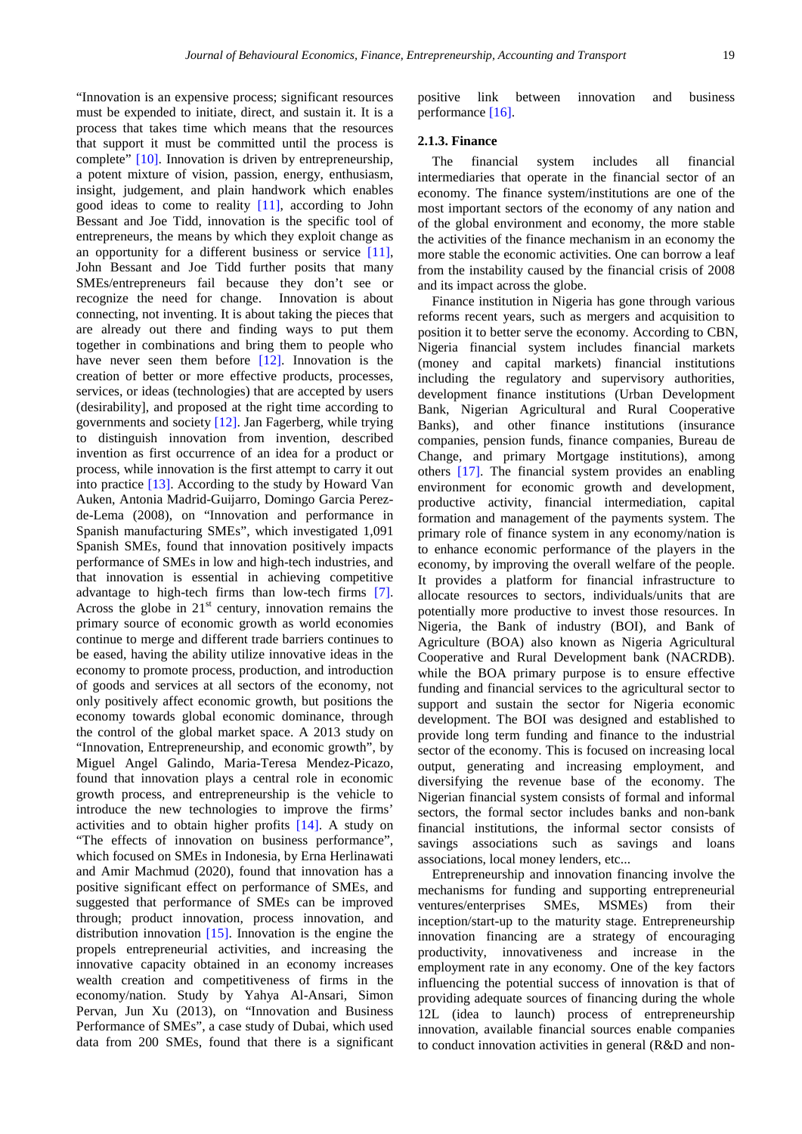"Innovation is an expensive process; significant resources must be expended to initiate, direct, and sustain it. It is a process that takes time which means that the resources that support it must be committed until the process is complete" [\[10\].](#page-18-9) Innovation is driven by entrepreneurship, a potent mixture of vision, passion, energy, enthusiasm, insight, judgement, and plain handwork which enables good ideas to come to reality [\[11\],](#page-18-10) according to John Bessant and Joe Tidd, innovation is the specific tool of entrepreneurs, the means by which they exploit change as an opportunity for a different business or service [\[11\],](#page-18-10) John Bessant and Joe Tidd further posits that many SMEs/entrepreneurs fail because they don't see or recognize the need for change. Innovation is about connecting, not inventing. It is about taking the pieces that are already out there and finding ways to put them together in combinations and bring them to people who have never seen them before [\[12\].](#page-18-11) Innovation is the creation of better or more effective products, processes, services, or ideas (technologies) that are accepted by users (desirability], and proposed at the right time according to governments and society [\[12\].](#page-18-11) Jan Fagerberg, while trying to distinguish innovation from invention, described invention as first occurrence of an idea for a product or process, while innovation is the first attempt to carry it out into practice [\[13\].](#page-18-12) According to the study by Howard Van Auken, Antonia Madrid-Guijarro, Domingo Garcia Perezde-Lema (2008), on "Innovation and performance in Spanish manufacturing SMEs", which investigated 1,091 Spanish SMEs, found that innovation positively impacts performance of SMEs in low and high-tech industries, and that innovation is essential in achieving competitive advantage to high-tech firms than low-tech firms [\[7\].](#page-18-6) Across the globe in  $21<sup>st</sup>$  century, innovation remains the primary source of economic growth as world economies continue to merge and different trade barriers continues to be eased, having the ability utilize innovative ideas in the economy to promote process, production, and introduction of goods and services at all sectors of the economy, not only positively affect economic growth, but positions the economy towards global economic dominance, through the control of the global market space. A 2013 study on "Innovation, Entrepreneurship, and economic growth", by Miguel Angel Galindo, Maria-Teresa Mendez-Picazo, found that innovation plays a central role in economic growth process, and entrepreneurship is the vehicle to introduce the new technologies to improve the firms' activities and to obtain higher profits [\[14\].](#page-18-13) A study on "The effects of innovation on business performance", which focused on SMEs in Indonesia, by Erna Herlinawati and Amir Machmud (2020), found that innovation has a positive significant effect on performance of SMEs, and suggested that performance of SMEs can be improved through; product innovation, process innovation, and distribution innovation [\[15\].](#page-18-14) Innovation is the engine the propels entrepreneurial activities, and increasing the innovative capacity obtained in an economy increases wealth creation and competitiveness of firms in the economy/nation. Study by Yahya Al-Ansari, Simon Pervan, Jun Xu (2013), on "Innovation and Business Performance of SMEs", a case study of Dubai, which used data from 200 SMEs, found that there is a significant

positive link between innovation and business performance [\[16\].](#page-18-15)

#### **2.1.3. Finance**

The financial system includes all financial intermediaries that operate in the financial sector of an economy. The finance system/institutions are one of the most important sectors of the economy of any nation and of the global environment and economy, the more stable the activities of the finance mechanism in an economy the more stable the economic activities. One can borrow a leaf from the instability caused by the financial crisis of 2008 and its impact across the globe.

Finance institution in Nigeria has gone through various reforms recent years, such as mergers and acquisition to position it to better serve the economy. According to CBN, Nigeria financial system includes financial markets (money and capital markets) financial institutions including the regulatory and supervisory authorities, development finance institutions (Urban Development Bank, Nigerian Agricultural and Rural Cooperative Banks), and other finance institutions (insurance companies, pension funds, finance companies, Bureau de Change, and primary Mortgage institutions), among others [\[17\].](#page-18-16) The financial system provides an enabling environment for economic growth and development, productive activity, financial intermediation, capital formation and management of the payments system. The primary role of finance system in any economy/nation is to enhance economic performance of the players in the economy, by improving the overall welfare of the people. It provides a platform for financial infrastructure to allocate resources to sectors, individuals/units that are potentially more productive to invest those resources. In Nigeria, the Bank of industry (BOI), and Bank of Agriculture (BOA) also known as Nigeria Agricultural Cooperative and Rural Development bank (NACRDB). while the BOA primary purpose is to ensure effective funding and financial services to the agricultural sector to support and sustain the sector for Nigeria economic development. The BOI was designed and established to provide long term funding and finance to the industrial sector of the economy. This is focused on increasing local output, generating and increasing employment, and diversifying the revenue base of the economy. The Nigerian financial system consists of formal and informal sectors, the formal sector includes banks and non-bank financial institutions, the informal sector consists of savings associations such as savings and loans associations, local money lenders, etc...

Entrepreneurship and innovation financing involve the mechanisms for funding and supporting entrepreneurial ventures/enterprises SMEs, MSMEs) from their inception/start-up to the maturity stage. Entrepreneurship innovation financing are a strategy of encouraging productivity, innovativeness and increase in the employment rate in any economy. One of the key factors influencing the potential success of innovation is that of providing adequate sources of financing during the whole 12L (idea to launch) process of entrepreneurship innovation, available financial sources enable companies to conduct innovation activities in general (R&D and non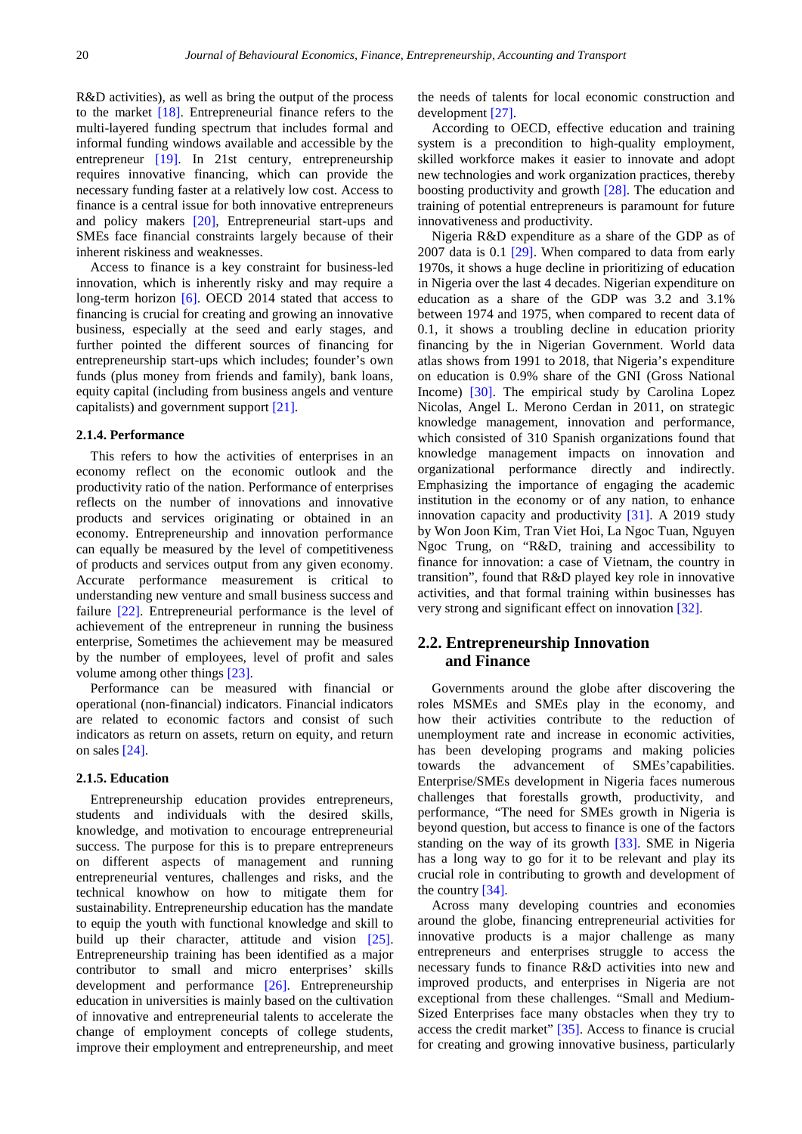R&D activities), as well as bring the output of the process to the market [\[18\].](#page-18-17) Entrepreneurial finance refers to the multi-layered funding spectrum that includes formal and informal funding windows available and accessible by the entrepreneur [\[19\].](#page-18-18) In 21st century, entrepreneurship requires innovative financing, which can provide the necessary funding faster at a relatively low cost. Access to finance is a central issue for both innovative entrepreneurs and policy makers [\[20\],](#page-18-19) Entrepreneurial start-ups and SMEs face financial constraints largely because of their inherent riskiness and weaknesses.

Access to finance is a key constraint for business-led innovation, which is inherently risky and may require a long-term horizon [\[6\].](#page-18-5) OECD 2014 stated that access to financing is crucial for creating and growing an innovative business, especially at the seed and early stages, and further pointed the different sources of financing for entrepreneurship start-ups which includes; founder's own funds (plus money from friends and family), bank loans, equity capital (including from business angels and venture capitalists) and government support [\[21\].](#page-18-20)

### **2.1.4. Performance**

This refers to how the activities of enterprises in an economy reflect on the economic outlook and the productivity ratio of the nation. Performance of enterprises reflects on the number of innovations and innovative products and services originating or obtained in an economy. Entrepreneurship and innovation performance can equally be measured by the level of competitiveness of products and services output from any given economy. Accurate performance measurement is critical to understanding new venture and small business success and failure [\[22\].](#page-19-0) Entrepreneurial performance is the level of achievement of the entrepreneur in running the business enterprise, Sometimes the achievement may be measured by the number of employees, level of profit and sales volume among other things [\[23\].](#page-19-1)

Performance can be measured with financial or operational (non-financial) indicators. Financial indicators are related to economic factors and consist of such indicators as return on assets, return on equity, and return on sales [\[24\].](#page-19-2)

#### **2.1.5. Education**

Entrepreneurship education provides entrepreneurs, students and individuals with the desired skills, knowledge, and motivation to encourage entrepreneurial success. The purpose for this is to prepare entrepreneurs on different aspects of management and running entrepreneurial ventures, challenges and risks, and the technical knowhow on how to mitigate them for sustainability. Entrepreneurship education has the mandate to equip the youth with functional knowledge and skill to build up their character, attitude and vision [\[25\].](#page-19-3) Entrepreneurship training has been identified as a major contributor to small and micro enterprises' skills development and performance [\[26\].](#page-19-4) Entrepreneurship education in universities is mainly based on the cultivation of innovative and entrepreneurial talents to accelerate the change of employment concepts of college students, improve their employment and entrepreneurship, and meet the needs of talents for local economic construction and development [\[27\].](#page-19-5)

According to OECD, effective education and training system is a precondition to high-quality employment, skilled workforce makes it easier to innovate and adopt new technologies and work organization practices, thereby boosting productivity and growth [\[28\].](#page-19-6) The education and training of potential entrepreneurs is paramount for future innovativeness and productivity.

Nigeria R&D expenditure as a share of the GDP as of 2007 data is 0.1 [\[29\].](#page-19-7) When compared to data from early 1970s, it shows a huge decline in prioritizing of education in Nigeria over the last 4 decades. Nigerian expenditure on education as a share of the GDP was 3.2 and 3.1% between 1974 and 1975, when compared to recent data of 0.1, it shows a troubling decline in education priority financing by the in Nigerian Government. World data atlas shows from 1991 to 2018, that Nigeria's expenditure on education is 0.9% share of the GNI (Gross National Income) [\[30\].](#page-19-8) The empirical study by Carolina Lopez Nicolas, Angel L. Merono Cerdan in 2011, on strategic knowledge management, innovation and performance, which consisted of 310 Spanish organizations found that knowledge management impacts on innovation and organizational performance directly and indirectly. Emphasizing the importance of engaging the academic institution in the economy or of any nation, to enhance innovation capacity and productivity [\[31\].](#page-19-9) A 2019 study by Won Joon Kim, Tran Viet Hoi, La Ngoc Tuan, Nguyen Ngoc Trung, on "R&D, training and accessibility to finance for innovation: a case of Vietnam, the country in transition", found that R&D played key role in innovative activities, and that formal training within businesses has very strong and significant effect on innovatio[n \[32\].](#page-19-10)

# **2.2. Entrepreneurship Innovation and Finance**

Governments around the globe after discovering the roles MSMEs and SMEs play in the economy, and how their activities contribute to the reduction of unemployment rate and increase in economic activities, has been developing programs and making policies towards the advancement of SMEs'capabilities. Enterprise/SMEs development in Nigeria faces numerous challenges that forestalls growth, productivity, and performance, "The need for SMEs growth in Nigeria is beyond question, but access to finance is one of the factors standing on the way of its growth [\[33\].](#page-19-11) SME in Nigeria has a long way to go for it to be relevant and play its crucial role in contributing to growth and development of the country [\[34\].](#page-19-12)

Across many developing countries and economies around the globe, financing entrepreneurial activities for innovative products is a major challenge as many entrepreneurs and enterprises struggle to access the necessary funds to finance R&D activities into new and improved products, and enterprises in Nigeria are not exceptional from these challenges. "Small and Medium-Sized Enterprises face many obstacles when they try to access the credit market" [\[35\].](#page-19-13) Access to finance is crucial for creating and growing innovative business, particularly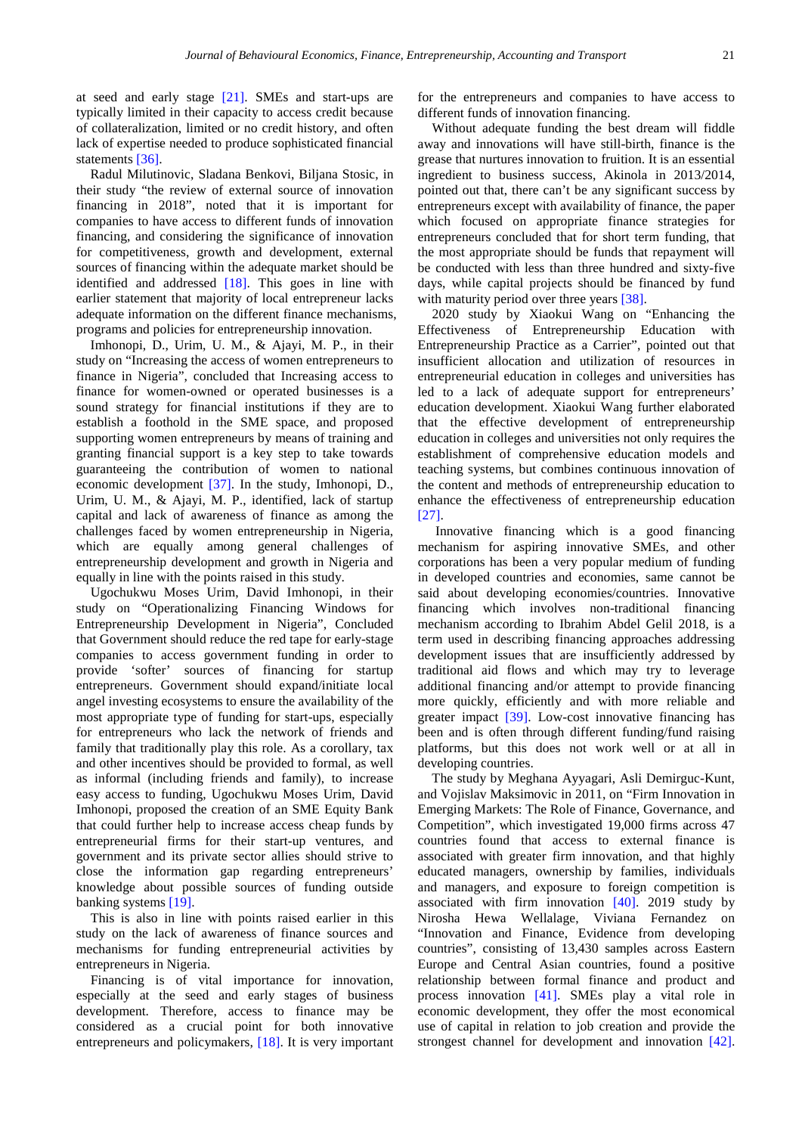at seed and early stage [\[21\].](#page-18-20) SMEs and start-ups are typically limited in their capacity to access credit because of collateralization, limited or no credit history, and often lack of expertise needed to produce sophisticated financial statements [\[36\].](#page-19-14)

Radul Milutinovic, Sladana Benkovi, Biljana Stosic, in their study "the review of external source of innovation financing in 2018", noted that it is important for companies to have access to different funds of innovation financing, and considering the significance of innovation for competitiveness, growth and development, external sources of financing within the adequate market should be identified and addressed [\[18\].](#page-18-17) This goes in line with earlier statement that majority of local entrepreneur lacks adequate information on the different finance mechanisms, programs and policies for entrepreneurship innovation.

Imhonopi, D., Urim, U. M., & Ajayi, M. P., in their study on "Increasing the access of women entrepreneurs to finance in Nigeria", concluded that Increasing access to finance for women-owned or operated businesses is a sound strategy for financial institutions if they are to establish a foothold in the SME space, and proposed supporting women entrepreneurs by means of training and granting financial support is a key step to take towards guaranteeing the contribution of women to national economic development [\[37\].](#page-19-15) In the study, Imhonopi, D., Urim, U. M., & Ajayi, M. P., identified, lack of startup capital and lack of awareness of finance as among the challenges faced by women entrepreneurship in Nigeria, which are equally among general challenges of entrepreneurship development and growth in Nigeria and equally in line with the points raised in this study.

Ugochukwu Moses Urim, David Imhonopi, in their study on "Operationalizing Financing Windows for Entrepreneurship Development in Nigeria", Concluded that Government should reduce the red tape for early-stage companies to access government funding in order to provide 'softer' sources of financing for startup entrepreneurs. Government should expand/initiate local angel investing ecosystems to ensure the availability of the most appropriate type of funding for start-ups, especially for entrepreneurs who lack the network of friends and family that traditionally play this role. As a corollary, tax and other incentives should be provided to formal, as well as informal (including friends and family), to increase easy access to funding, Ugochukwu Moses Urim, David Imhonopi, proposed the creation of an SME Equity Bank that could further help to increase access cheap funds by entrepreneurial firms for their start-up ventures, and government and its private sector allies should strive to close the information gap regarding entrepreneurs' knowledge about possible sources of funding outside banking systems [\[19\].](#page-18-18)

This is also in line with points raised earlier in this study on the lack of awareness of finance sources and mechanisms for funding entrepreneurial activities by entrepreneurs in Nigeria.

Financing is of vital importance for innovation, especially at the seed and early stages of business development. Therefore, access to finance may be considered as a crucial point for both innovative entrepreneurs and policymakers, [\[18\].](#page-18-17) It is very important for the entrepreneurs and companies to have access to different funds of innovation financing.

Without adequate funding the best dream will fiddle away and innovations will have still-birth, finance is the grease that nurtures innovation to fruition. It is an essential ingredient to business success, Akinola in 2013/2014, pointed out that, there can't be any significant success by entrepreneurs except with availability of finance, the paper which focused on appropriate finance strategies for entrepreneurs concluded that for short term funding, that the most appropriate should be funds that repayment will be conducted with less than three hundred and sixty-five days, while capital projects should be financed by fund with maturity period over three years [\[38\].](#page-19-16)

2020 study by Xiaokui Wang on "Enhancing the Effectiveness of Entrepreneurship Education with Entrepreneurship Practice as a Carrier", pointed out that insufficient allocation and utilization of resources in entrepreneurial education in colleges and universities has led to a lack of adequate support for entrepreneurs' education development. Xiaokui Wang further elaborated that the effective development of entrepreneurship education in colleges and universities not only requires the establishment of comprehensive education models and teaching systems, but combines continuous innovation of the content and methods of entrepreneurship education to enhance the effectiveness of entrepreneurship education [\[27\].](#page-19-5)

Innovative financing which is a good financing mechanism for aspiring innovative SMEs, and other corporations has been a very popular medium of funding in developed countries and economies, same cannot be said about developing economies/countries. Innovative financing which involves non-traditional financing mechanism according to Ibrahim Abdel Gelil 2018, is a term used in describing financing approaches addressing development issues that are insufficiently addressed by traditional aid flows and which may try to leverage additional financing and/or attempt to provide financing more quickly, efficiently and with more reliable and greater impact [\[39\].](#page-19-17) Low-cost innovative financing has been and is often through different funding/fund raising platforms, but this does not work well or at all in developing countries.

The study by Meghana Ayyagari, Asli Demirguc-Kunt, and Vojislav Maksimovic in 2011, on "Firm Innovation in Emerging Markets: The Role of Finance, Governance, and Competition", which investigated 19,000 firms across 47 countries found that access to external finance is associated with greater firm innovation, and that highly educated managers, ownership by families, individuals and managers, and exposure to foreign competition is associated with firm innovation  $[40]$ . 2019 study by Nirosha Hewa Wellalage, Viviana Fernandez on "Innovation and Finance, Evidence from developing countries", consisting of 13,430 samples across Eastern Europe and Central Asian countries, found a positive relationship between formal finance and product and process innovation [\[41\].](#page-19-19) SMEs play a vital role in economic development, they offer the most economical use of capital in relation to job creation and provide the strongest channel for development and innovation [\[42\].](#page-19-20)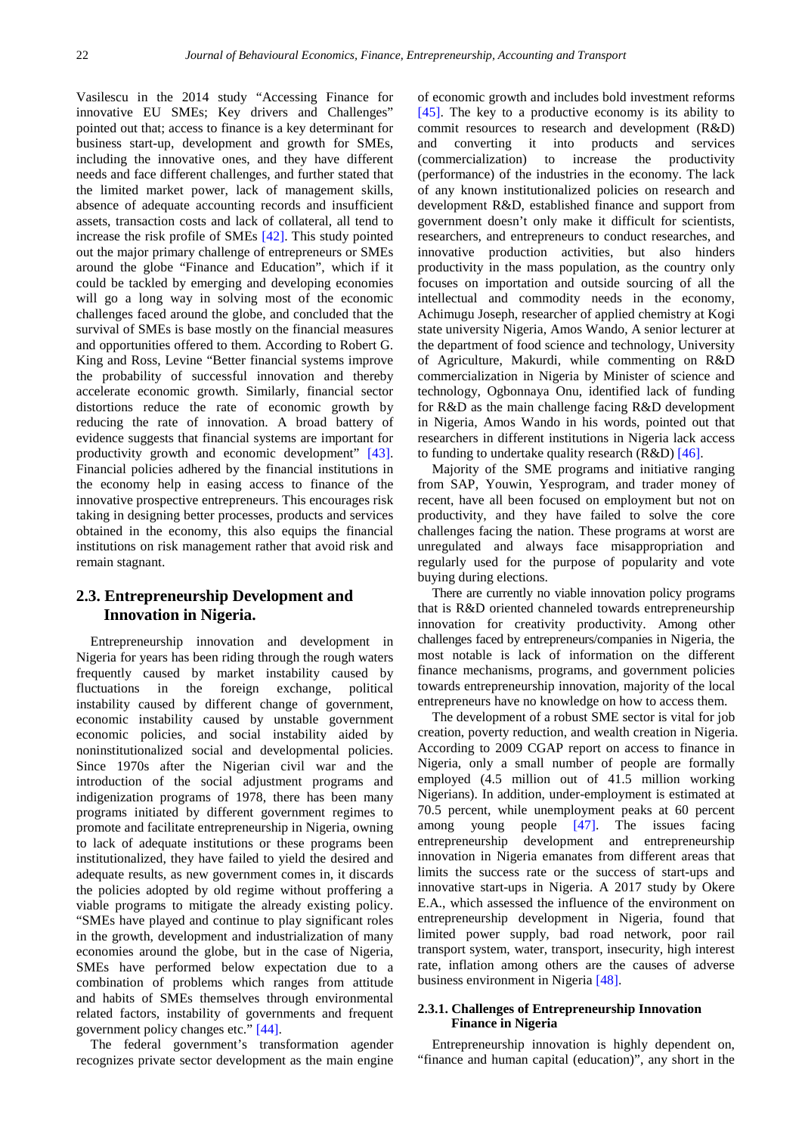Vasilescu in the 2014 study "Accessing Finance for innovative EU SMEs; Key drivers and Challenges" pointed out that; access to finance is a key determinant for business start-up, development and growth for SMEs, including the innovative ones, and they have different needs and face different challenges, and further stated that the limited market power, lack of management skills, absence of adequate accounting records and insufficient assets, transaction costs and lack of collateral, all tend to increase the risk profile of SMEs [\[42\].](#page-19-20) This study pointed out the major primary challenge of entrepreneurs or SMEs around the globe "Finance and Education", which if it could be tackled by emerging and developing economies will go a long way in solving most of the economic challenges faced around the globe, and concluded that the survival of SMEs is base mostly on the financial measures and opportunities offered to them. According to Robert G. King and Ross, Levine "Better financial systems improve the probability of successful innovation and thereby accelerate economic growth. Similarly, financial sector distortions reduce the rate of economic growth by reducing the rate of innovation. A broad battery of evidence suggests that financial systems are important for productivity growth and economic development" [\[43\].](#page-19-21) Financial policies adhered by the financial institutions in the economy help in easing access to finance of the innovative prospective entrepreneurs. This encourages risk taking in designing better processes, products and services obtained in the economy, this also equips the financial institutions on risk management rather that avoid risk and remain stagnant.

# **2.3. Entrepreneurship Development and Innovation in Nigeria.**

Entrepreneurship innovation and development in Nigeria for years has been riding through the rough waters frequently caused by market instability caused by fluctuations in the foreign exchange, political instability caused by different change of government, economic instability caused by unstable government economic policies, and social instability aided by noninstitutionalized social and developmental policies. Since 1970s after the Nigerian civil war and the introduction of the social adjustment programs and indigenization programs of 1978, there has been many programs initiated by different government regimes to promote and facilitate entrepreneurship in Nigeria, owning to lack of adequate institutions or these programs been institutionalized, they have failed to yield the desired and adequate results, as new government comes in, it discards the policies adopted by old regime without proffering a viable programs to mitigate the already existing policy. "SMEs have played and continue to play significant roles in the growth, development and industrialization of many economies around the globe, but in the case of Nigeria, SMEs have performed below expectation due to a combination of problems which ranges from attitude and habits of SMEs themselves through environmental related factors, instability of governments and frequent government policy changes etc." [\[44\].](#page-19-22)

The federal government's transformation agender recognizes private sector development as the main engine

of economic growth and includes bold investment reforms [\[45\].](#page-19-23) The key to a productive economy is its ability to commit resources to research and development (R&D) and converting it into products and services (commercialization) to increase the productivity (performance) of the industries in the economy. The lack of any known institutionalized policies on research and development R&D, established finance and support from government doesn't only make it difficult for scientists, researchers, and entrepreneurs to conduct researches, and innovative production activities, but also hinders productivity in the mass population, as the country only focuses on importation and outside sourcing of all the intellectual and commodity needs in the economy, Achimugu Joseph, researcher of applied chemistry at Kogi state university Nigeria, Amos Wando, A senior lecturer at the department of food science and technology, University of Agriculture, Makurdi, while commenting on R&D commercialization in Nigeria by Minister of science and technology, Ogbonnaya Onu, identified lack of funding for R&D as the main challenge facing R&D development in Nigeria, Amos Wando in his words, pointed out that researchers in different institutions in Nigeria lack access to funding to undertake quality research  $(R&D)$  [\[46\].](#page-19-24)

Majority of the SME programs and initiative ranging from SAP, Youwin, Yesprogram, and trader money of recent, have all been focused on employment but not on productivity, and they have failed to solve the core challenges facing the nation. These programs at worst are unregulated and always face misappropriation and regularly used for the purpose of popularity and vote buying during elections.

There are currently no viable innovation policy programs that is R&D oriented channeled towards entrepreneurship innovation for creativity productivity. Among other challenges faced by entrepreneurs/companies in Nigeria, the most notable is lack of information on the different finance mechanisms, programs, and government policies towards entrepreneurship innovation, majority of the local entrepreneurs have no knowledge on how to access them.

The development of a robust SME sector is vital for job creation, poverty reduction, and wealth creation in Nigeria. According to 2009 CGAP report on access to finance in Nigeria, only a small number of people are formally employed (4.5 million out of 41.5 million working Nigerians). In addition, under-employment is estimated at 70.5 percent, while unemployment peaks at 60 percent among young people [\[47\].](#page-19-25) The issues facing entrepreneurship development and entrepreneurship innovation in Nigeria emanates from different areas that limits the success rate or the success of start-ups and innovative start-ups in Nigeria. A 2017 study by Okere E.A., which assessed the influence of the environment on entrepreneurship development in Nigeria, found that limited power supply, bad road network, poor rail transport system, water, transport, insecurity, high interest rate, inflation among others are the causes of adverse business environment in Nigeria [\[48\].](#page-19-26)

#### **2.3.1. Challenges of Entrepreneurship Innovation Finance in Nigeria**

Entrepreneurship innovation is highly dependent on, "finance and human capital (education)", any short in the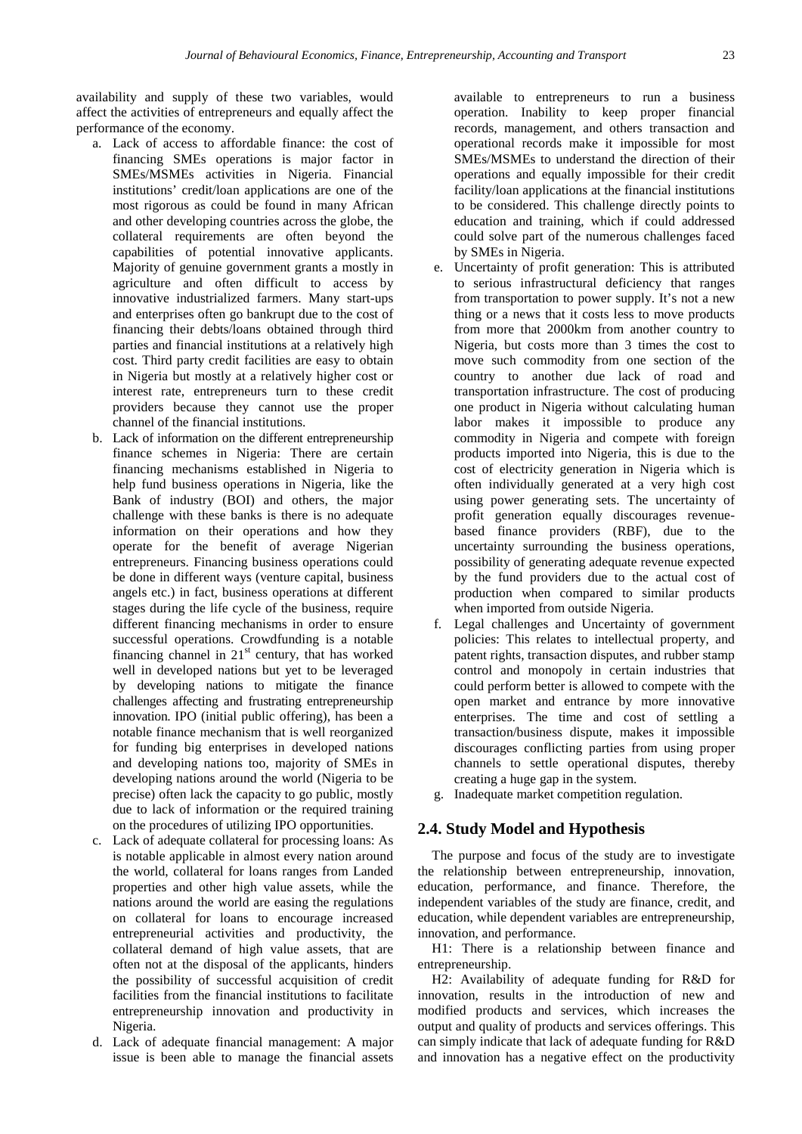availability and supply of these two variables, would affect the activities of entrepreneurs and equally affect the performance of the economy.

- a. Lack of access to affordable finance: the cost of financing SMEs operations is major factor in SMEs/MSMEs activities in Nigeria. Financial institutions' credit/loan applications are one of the most rigorous as could be found in many African and other developing countries across the globe, the collateral requirements are often beyond the capabilities of potential innovative applicants. Majority of genuine government grants a mostly in agriculture and often difficult to access by innovative industrialized farmers. Many start-ups and enterprises often go bankrupt due to the cost of financing their debts/loans obtained through third parties and financial institutions at a relatively high cost. Third party credit facilities are easy to obtain in Nigeria but mostly at a relatively higher cost or interest rate, entrepreneurs turn to these credit providers because they cannot use the proper channel of the financial institutions.
- b. Lack of information on the different entrepreneurship finance schemes in Nigeria: There are certain financing mechanisms established in Nigeria to help fund business operations in Nigeria, like the Bank of industry (BOI) and others, the major challenge with these banks is there is no adequate information on their operations and how they operate for the benefit of average Nigerian entrepreneurs. Financing business operations could be done in different ways (venture capital, business angels etc.) in fact, business operations at different stages during the life cycle of the business, require different financing mechanisms in order to ensure successful operations. Crowdfunding is a notable financing channel in  $21<sup>st</sup>$  century, that has worked well in developed nations but yet to be leveraged by developing nations to mitigate the finance challenges affecting and frustrating entrepreneurship innovation. IPO (initial public offering), has been a notable finance mechanism that is well reorganized for funding big enterprises in developed nations and developing nations too, majority of SMEs in developing nations around the world (Nigeria to be precise) often lack the capacity to go public, mostly due to lack of information or the required training on the procedures of utilizing IPO opportunities.
- c. Lack of adequate collateral for processing loans: As is notable applicable in almost every nation around the world, collateral for loans ranges from Landed properties and other high value assets, while the nations around the world are easing the regulations on collateral for loans to encourage increased entrepreneurial activities and productivity, the collateral demand of high value assets, that are often not at the disposal of the applicants, hinders the possibility of successful acquisition of credit facilities from the financial institutions to facilitate entrepreneurship innovation and productivity in Nigeria.
- d. Lack of adequate financial management: A major issue is been able to manage the financial assets

available to entrepreneurs to run a business operation. Inability to keep proper financial records, management, and others transaction and operational records make it impossible for most SMEs/MSMEs to understand the direction of their operations and equally impossible for their credit facility/loan applications at the financial institutions to be considered. This challenge directly points to education and training, which if could addressed could solve part of the numerous challenges faced by SMEs in Nigeria.

- e. Uncertainty of profit generation: This is attributed to serious infrastructural deficiency that ranges from transportation to power supply. It's not a new thing or a news that it costs less to move products from more that 2000km from another country to Nigeria, but costs more than 3 times the cost to move such commodity from one section of the country to another due lack of road and transportation infrastructure. The cost of producing one product in Nigeria without calculating human labor makes it impossible to produce any commodity in Nigeria and compete with foreign products imported into Nigeria, this is due to the cost of electricity generation in Nigeria which is often individually generated at a very high cost using power generating sets. The uncertainty of profit generation equally discourages revenuebased finance providers (RBF), due to the uncertainty surrounding the business operations, possibility of generating adequate revenue expected by the fund providers due to the actual cost of production when compared to similar products when imported from outside Nigeria.
- f. Legal challenges and Uncertainty of government policies: This relates to intellectual property, and patent rights, transaction disputes, and rubber stamp control and monopoly in certain industries that could perform better is allowed to compete with the open market and entrance by more innovative enterprises. The time and cost of settling a transaction/business dispute, makes it impossible discourages conflicting parties from using proper channels to settle operational disputes, thereby creating a huge gap in the system.
- g. Inadequate market competition regulation.

### **2.4. Study Model and Hypothesis**

The purpose and focus of the study are to investigate the relationship between entrepreneurship, innovation, education, performance, and finance. Therefore, the independent variables of the study are finance, credit, and education, while dependent variables are entrepreneurship, innovation, and performance.

H1: There is a relationship between finance and entrepreneurship.

H2: Availability of adequate funding for R&D for innovation, results in the introduction of new and modified products and services, which increases the output and quality of products and services offerings. This can simply indicate that lack of adequate funding for R&D and innovation has a negative effect on the productivity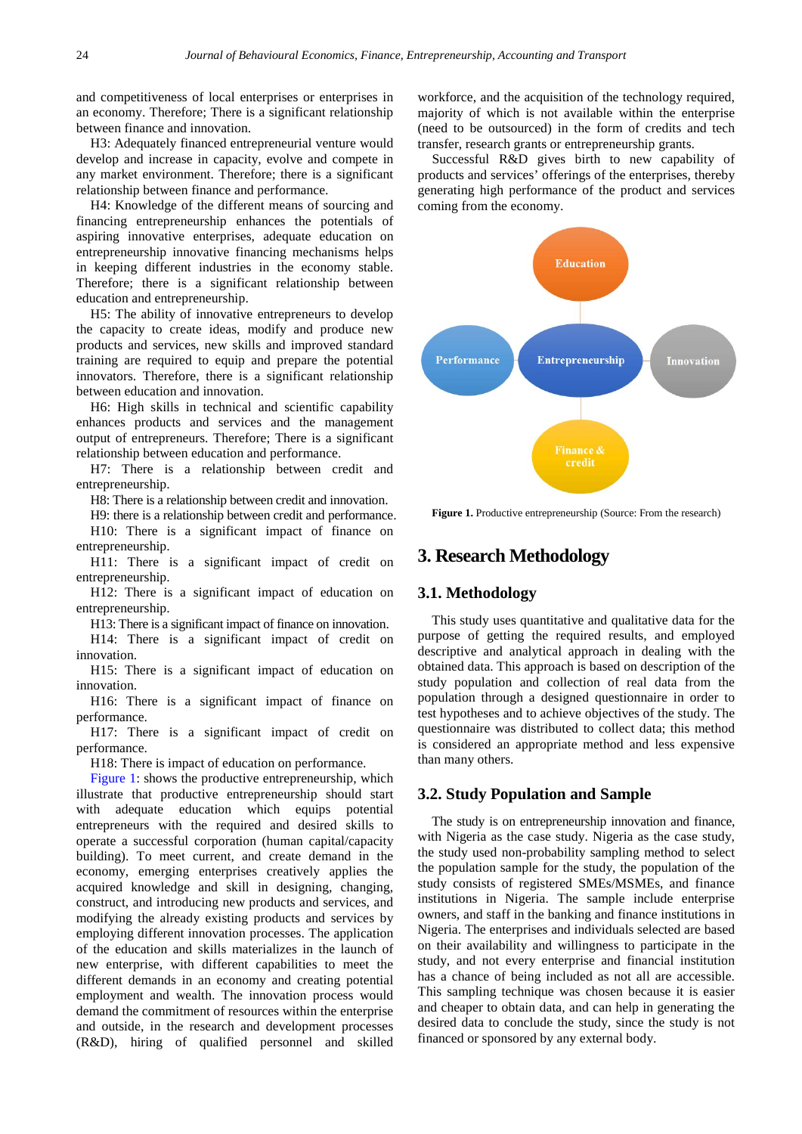and competitiveness of local enterprises or enterprises in an economy. Therefore; There is a significant relationship between finance and innovation.

H3: Adequately financed entrepreneurial venture would develop and increase in capacity, evolve and compete in any market environment. Therefore; there is a significant relationship between finance and performance.

H4: Knowledge of the different means of sourcing and financing entrepreneurship enhances the potentials of aspiring innovative enterprises, adequate education on entrepreneurship innovative financing mechanisms helps in keeping different industries in the economy stable. Therefore; there is a significant relationship between education and entrepreneurship.

H5: The ability of innovative entrepreneurs to develop the capacity to create ideas, modify and produce new products and services, new skills and improved standard training are required to equip and prepare the potential innovators. Therefore, there is a significant relationship between education and innovation.

H6: High skills in technical and scientific capability enhances products and services and the management output of entrepreneurs. Therefore; There is a significant relationship between education and performance.

H7: There is a relationship between credit and entrepreneurship.

H8: There is a relationship between credit and innovation.

H9: there is a relationship between credit and performance. H10: There is a significant impact of finance on entrepreneurship.

H11: There is a significant impact of credit on entrepreneurship.

H12: There is a significant impact of education on entrepreneurship.

H13: There is a significant impact of finance on innovation.

H14: There is a significant impact of credit on innovation.

H15: There is a significant impact of education on innovation.

H16: There is a significant impact of finance on performance.

H17: There is a significant impact of credit on performance.

H18: There is impact of education on performance.

[Figure 1:](#page-8-0) shows the productive entrepreneurship, which illustrate that productive entrepreneurship should start with adequate education which equips potential entrepreneurs with the required and desired skills to operate a successful corporation (human capital/capacity building). To meet current, and create demand in the economy, emerging enterprises creatively applies the acquired knowledge and skill in designing, changing, construct, and introducing new products and services, and modifying the already existing products and services by employing different innovation processes. The application of the education and skills materializes in the launch of new enterprise, with different capabilities to meet the different demands in an economy and creating potential employment and wealth. The innovation process would demand the commitment of resources within the enterprise and outside, in the research and development processes (R&D), hiring of qualified personnel and skilled workforce, and the acquisition of the technology required, majority of which is not available within the enterprise (need to be outsourced) in the form of credits and tech transfer, research grants or entrepreneurship grants.

Successful R&D gives birth to new capability of products and services' offerings of the enterprises, thereby generating high performance of the product and services coming from the economy.

<span id="page-8-0"></span>

**Figure 1.** Productive entrepreneurship (Source: From the research)

# **3. Research Methodology**

### **3.1. Methodology**

This study uses quantitative and qualitative data for the purpose of getting the required results, and employed descriptive and analytical approach in dealing with the obtained data. This approach is based on description of the study population and collection of real data from the population through a designed questionnaire in order to test hypotheses and to achieve objectives of the study. The questionnaire was distributed to collect data; this method is considered an appropriate method and less expensive than many others.

### **3.2. Study Population and Sample**

The study is on entrepreneurship innovation and finance, with Nigeria as the case study. Nigeria as the case study, the study used non-probability sampling method to select the population sample for the study, the population of the study consists of registered SMEs/MSMEs, and finance institutions in Nigeria. The sample include enterprise owners, and staff in the banking and finance institutions in Nigeria. The enterprises and individuals selected are based on their availability and willingness to participate in the study, and not every enterprise and financial institution has a chance of being included as not all are accessible. This sampling technique was chosen because it is easier and cheaper to obtain data, and can help in generating the desired data to conclude the study, since the study is not financed or sponsored by any external body.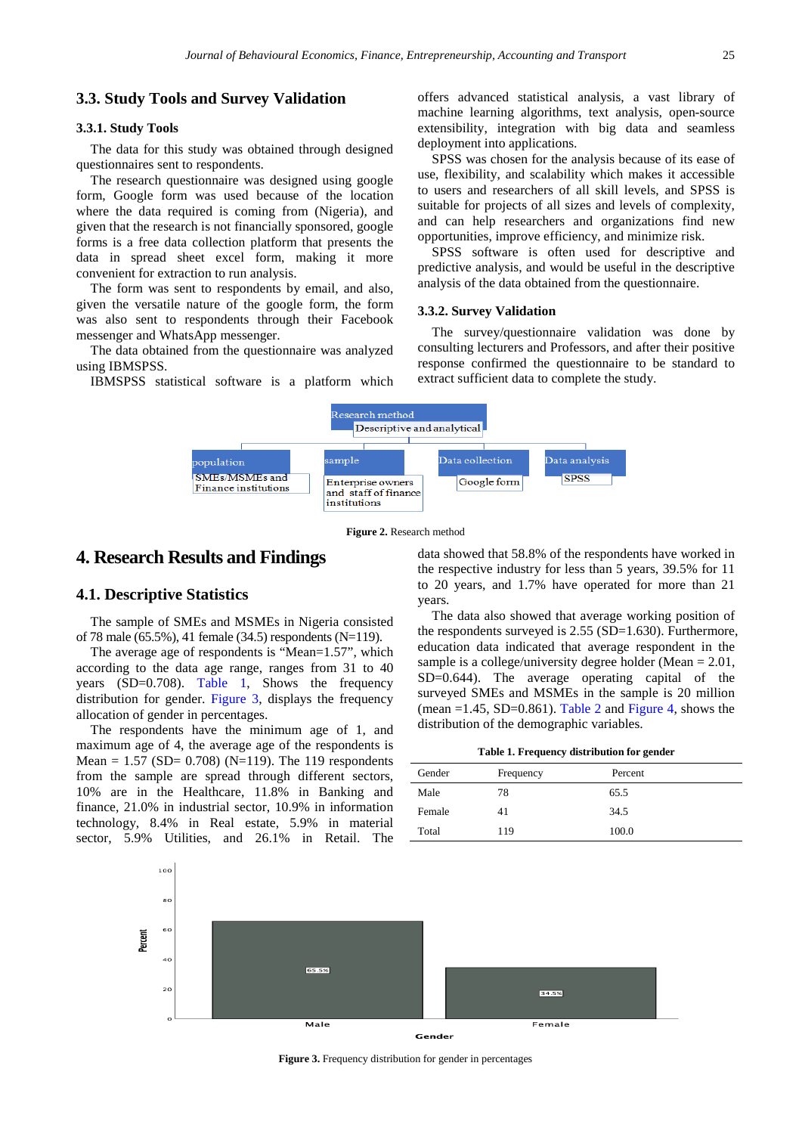### **3.3. Study Tools and Survey Validation**

#### **3.3.1. Study Tools**

The data for this study was obtained through designed questionnaires sent to respondents.

The research questionnaire was designed using google form, Google form was used because of the location where the data required is coming from (Nigeria), and given that the research is not financially sponsored, google forms is a free data collection platform that presents the data in spread sheet excel form, making it more convenient for extraction to run analysis.

The form was sent to respondents by email, and also, given the versatile nature of the google form, the form was also sent to respondents through their Facebook messenger and WhatsApp messenger.

The data obtained from the questionnaire was analyzed using IBMSPSS.

IBMSPSS statistical software is a platform which

offers advanced statistical analysis, a vast library of machine learning algorithms, text analysis, open-source extensibility, integration with big data and seamless deployment into applications.

SPSS was chosen for the analysis because of its ease of use, flexibility, and scalability which makes it accessible to users and researchers of all skill levels, and SPSS is suitable for projects of all sizes and levels of complexity, and can help researchers and organizations find new opportunities, improve efficiency, and minimize risk.

SPSS software is often used for descriptive and predictive analysis, and would be useful in the descriptive analysis of the data obtained from the questionnaire.

#### **3.3.2. Survey Validation**

The survey/questionnaire validation was done by consulting lecturers and Professors, and after their positive response confirmed the questionnaire to be standard to extract sufficient data to complete the study.



**Figure 2.** Research method

# **4. Research Results and Findings**

#### **4.1. Descriptive Statistics**

The sample of SMEs and MSMEs in Nigeria consisted of 78 male (65.5%), 41 female (34.5) respondents (N=119).

The average age of respondents is "Mean=1.57", which according to the data age range, ranges from 31 to 40 years (SD=0.708). [Table 1,](#page-9-0) Shows the frequency distribution for gender. [Figure 3,](#page-9-1) displays the frequency allocation of gender in percentages.

The respondents have the minimum age of 1, and maximum age of 4, the average age of the respondents is Mean =  $1.57$  (SD= 0.708) (N=119). The 119 respondents from the sample are spread through different sectors, 10% are in the Healthcare, 11.8% in Banking and finance, 21.0% in industrial sector, 10.9% in information technology, 8.4% in Real estate, 5.9% in material sector, 5.9% Utilities, and 26.1% in Retail. The data showed that 58.8% of the respondents have worked in the respective industry for less than 5 years, 39.5% for 11 to 20 years, and 1.7% have operated for more than 21 years.

The data also showed that average working position of the respondents surveyed is  $2.55$  (SD=1.630). Furthermore, education data indicated that average respondent in the sample is a college/university degree holder (Mean  $= 2.01$ , SD=0.644). The average operating capital of the surveyed SMEs and MSMEs in the sample is 20 million (mean  $=1.45$ , SD=0.861). [Table 2](#page-10-0) and [Figure 4,](#page-10-1) shows the distribution of the demographic variables.

**Table 1. Frequency distribution for gender**

<span id="page-9-0"></span>

| Gender | Frequency | Percent |
|--------|-----------|---------|
| Male   | 78        | 65.5    |
| Female | 41        | 34.5    |
| Total  | 119       | 100.0   |

<span id="page-9-1"></span>

**Figure 3.** Frequency distribution for gender in percentages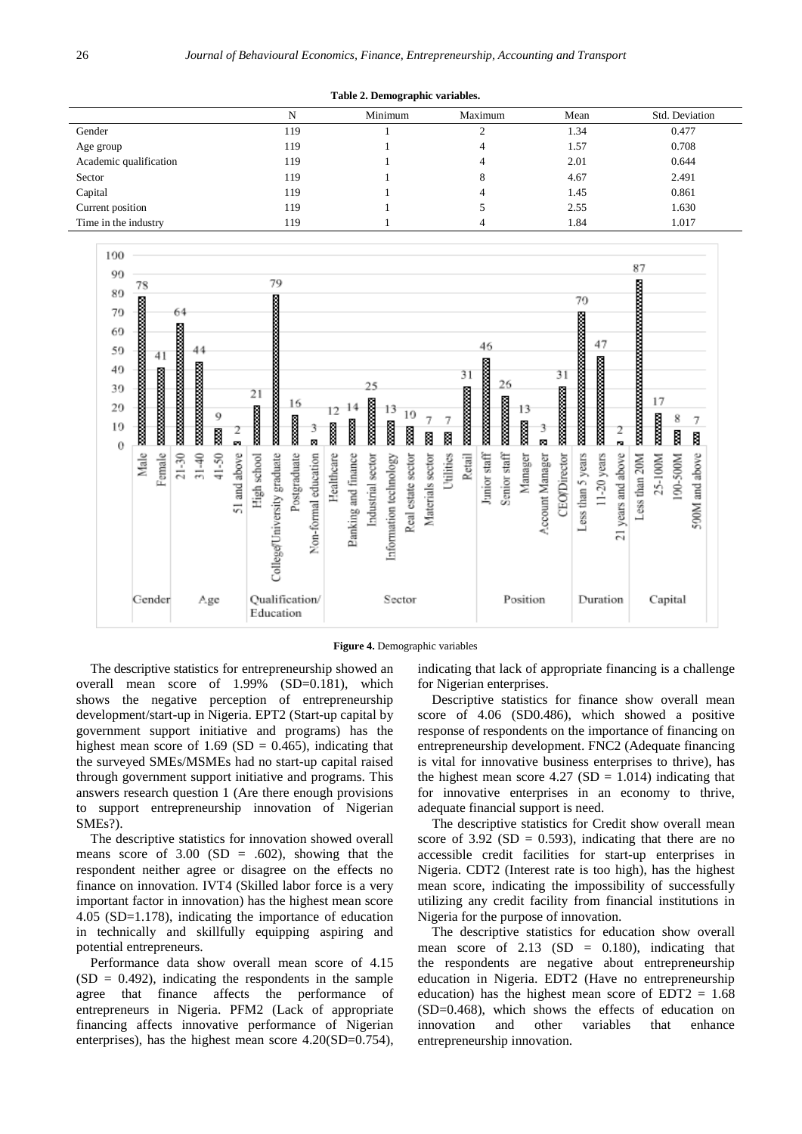**Table 2. Demographic variables.**

<span id="page-10-0"></span>

|                        | N   | Minimum | Maximum | Mean | Std. Deviation |
|------------------------|-----|---------|---------|------|----------------|
| Gender                 | 119 |         |         | 1.34 | 0.477          |
| Age group              | 119 |         |         | 1.57 | 0.708          |
| Academic qualification | 119 |         |         | 2.01 | 0.644          |
| Sector                 | 119 |         | 8       | 4.67 | 2.491          |
| Capital                | 119 |         |         | 1.45 | 0.861          |
| Current position       | 119 |         |         | 2.55 | 1.630          |
| Time in the industry   | 119 |         |         | 1.84 | 1.017          |

<span id="page-10-1"></span>

#### **Figure 4.** Demographic variables

The descriptive statistics for entrepreneurship showed an overall mean score of 1.99% (SD=0.181), which shows the negative perception of entrepreneurship development/start-up in Nigeria. EPT2 (Start-up capital by government support initiative and programs) has the highest mean score of  $1.69$  (SD = 0.465), indicating that the surveyed SMEs/MSMEs had no start-up capital raised through government support initiative and programs. This answers research question 1 (Are there enough provisions to support entrepreneurship innovation of Nigerian SMEs?).

The descriptive statistics for innovation showed overall means score of  $3.00$  (SD = .602), showing that the respondent neither agree or disagree on the effects no finance on innovation. IVT4 (Skilled labor force is a very important factor in innovation) has the highest mean score 4.05 (SD=1.178), indicating the importance of education in technically and skillfully equipping aspiring and potential entrepreneurs.

Performance data show overall mean score of 4.15  $(SD = 0.492)$ , indicating the respondents in the sample agree that finance affects the performance of entrepreneurs in Nigeria. PFM2 (Lack of appropriate financing affects innovative performance of Nigerian enterprises), has the highest mean score 4.20(SD=0.754),

indicating that lack of appropriate financing is a challenge for Nigerian enterprises.

Descriptive statistics for finance show overall mean score of 4.06 (SD0.486), which showed a positive response of respondents on the importance of financing on entrepreneurship development. FNC2 (Adequate financing is vital for innovative business enterprises to thrive), has the highest mean score  $4.27$  (SD = 1.014) indicating that for innovative enterprises in an economy to thrive, adequate financial support is need.

The descriptive statistics for Credit show overall mean score of 3.92 (SD = 0.593), indicating that there are no accessible credit facilities for start-up enterprises in Nigeria. CDT2 (Interest rate is too high), has the highest mean score, indicating the impossibility of successfully utilizing any credit facility from financial institutions in Nigeria for the purpose of innovation.

The descriptive statistics for education show overall mean score of  $2.13$  (SD = 0.180), indicating that the respondents are negative about entrepreneurship education in Nigeria. EDT2 (Have no entrepreneurship education) has the highest mean score of  $EDT2 = 1.68$ (SD=0.468), which shows the effects of education on innovation and other variables that enhance entrepreneurship innovation.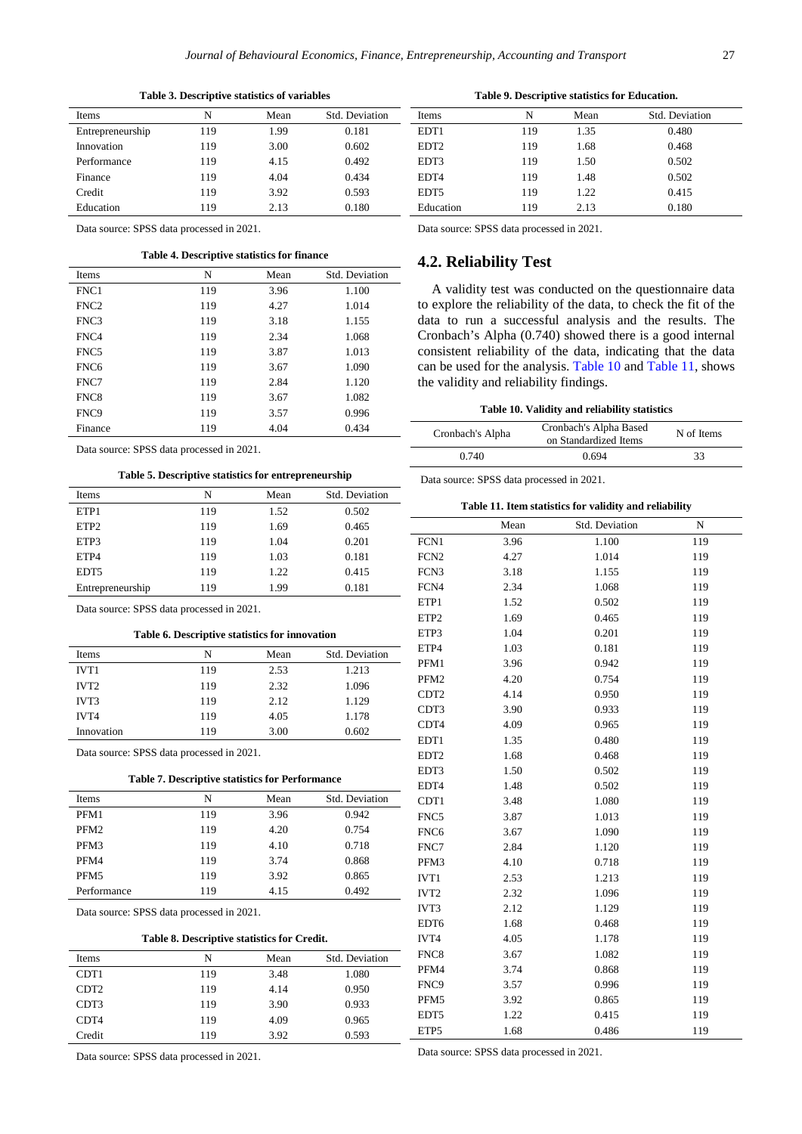#### **Table 3. Descriptive statistics of variables**

| <b>Items</b>     | N   | Mean | Std. Deviation |
|------------------|-----|------|----------------|
| Entrepreneurship | 119 | 1.99 | 0.181          |
| Innovation       | 119 | 3.00 | 0.602          |
| Performance      | 119 | 4.15 | 0.492          |
| Finance          | 119 | 4.04 | 0.434          |
| Credit           | 119 | 3.92 | 0.593          |
| Education        | 119 | 2.13 | 0.180          |

Data source: SPSS data processed in 2021.

#### **Table 4. Descriptive statistics for finance**

| <b>Items</b>     | N   | Mean | Std. Deviation |
|------------------|-----|------|----------------|
| FNC1             | 119 | 3.96 | 1.100          |
| FNC <sub>2</sub> | 119 | 4.27 | 1.014          |
| FNC3             | 119 | 3.18 | 1.155          |
| FNC4             | 119 | 2.34 | 1.068          |
| FNC5             | 119 | 3.87 | 1.013          |
| FNC <sub>6</sub> | 119 | 3.67 | 1.090          |
| FNC7             | 119 | 2.84 | 1.120          |
| FNC8             | 119 | 3.67 | 1.082          |
| FNC9             | 119 | 3.57 | 0.996          |
| Finance          | 119 | 4.04 | 0.434          |

Data source: SPSS data processed in 2021.

#### **Table 5. Descriptive statistics for entrepreneurship**

| Items            | N   | Mean | Std. Deviation |
|------------------|-----|------|----------------|
| ETP1             | 119 | 1.52 | 0.502          |
| ETP <sub>2</sub> | 119 | 1.69 | 0.465          |
| ETP3             | 119 | 1.04 | 0.201          |
| ETP4             | 119 | 1.03 | 0.181          |
| EDT <sub>5</sub> | 119 | 1.22 | 0.415          |
| Entrepreneurship | 119 | 1.99 | 0.181          |

Data source: SPSS data processed in 2021.

#### **Table 6. Descriptive statistics for innovation**

| <b>Items</b>     | N   | Mean | Std. Deviation |
|------------------|-----|------|----------------|
| IVT <sub>1</sub> | 119 | 2.53 | 1.213          |
| IVT <sub>2</sub> | 119 | 2.32 | 1.096          |
| IVT3             | 119 | 2.12 | 1.129          |
| <b>IVT4</b>      | 119 | 4.05 | 1.178          |
| Innovation       | 119 | 3.00 | 0.602          |

Data source: SPSS data processed in 2021.

#### **Table 7. Descriptive statistics for Performance**

| <b>Items</b>     | N   | Mean | Std. Deviation |
|------------------|-----|------|----------------|
| PFM1             | 119 | 3.96 | 0.942          |
| PFM <sub>2</sub> | 119 | 4.20 | 0.754          |
| PFM3             | 119 | 4.10 | 0.718          |
| PFM4             | 119 | 3.74 | 0.868          |
| PFM <sub>5</sub> | 119 | 3.92 | 0.865          |
| Performance      | 119 | 4.15 | 0.492          |

Data source: SPSS data processed in 2021.

#### **Table 8. Descriptive statistics for Credit.**

| Items            | N   | Mean | Std. Deviation |
|------------------|-----|------|----------------|
| CDT <sub>1</sub> | 119 | 3.48 | 1.080          |
| CDT <sub>2</sub> | 119 | 4.14 | 0.950          |
| CDT3             | 119 | 3.90 | 0.933          |
| CDT4             | 119 | 4.09 | 0.965          |
| Credit           | 119 | 3.92 | 0.593          |

Data source: SPSS data processed in 2021.

| Table 9. Descriptive statistics for Education. |  |  |
|------------------------------------------------|--|--|
|                                                |  |  |

| Items            | N   | Mean | Std. Deviation |
|------------------|-----|------|----------------|
| EDT <sub>1</sub> | 119 | 1.35 | 0.480          |
| EDT <sub>2</sub> | 119 | 1.68 | 0.468          |
| EDT3             | 119 | 1.50 | 0.502          |
| EDT4             | 119 | 1.48 | 0.502          |
| EDT <sub>5</sub> | 119 | 1.22 | 0.415          |
| Education        | 119 | 2.13 | 0.180          |

Data source: SPSS data processed in 2021.

# **4.2. Reliability Test**

A validity test was conducted on the questionnaire data to explore the reliability of the data, to check the fit of the data to run a successful analysis and the results. The Cronbach's Alpha (0.740) showed there is a good internal consistent reliability of the data, indicating that the data can be used for the analysis. [Table 10](#page-11-0) and [Table 11,](#page-11-1) shows the validity and reliability findings.

|  |  |  | Table 10. Validity and reliability statistics |  |
|--|--|--|-----------------------------------------------|--|
|--|--|--|-----------------------------------------------|--|

<span id="page-11-0"></span>

| Cronbach's Alpha Based<br>Cronbach's Alpha<br>on Standardized Items |       | N of Items |
|---------------------------------------------------------------------|-------|------------|
| 0.740                                                               | 0.694 | 33         |
|                                                                     |       |            |

Data source: SPSS data processed in 2021.

#### **Table 11. Item statistics for validity and reliability**

<span id="page-11-1"></span>

|                  | Mean | Std. Deviation | N   |
|------------------|------|----------------|-----|
| FCN1             | 3.96 | 1.100          | 119 |
| FCN <sub>2</sub> | 4.27 | 1.014          | 119 |
| FCN3             | 3.18 | 1.155          | 119 |
| FCN4             | 2.34 | 1.068          | 119 |
| ETP1             | 1.52 | 0.502          | 119 |
| ETP <sub>2</sub> | 1.69 | 0.465          | 119 |
| ETP3             | 1.04 | 0.201          | 119 |
| ETP4             | 1.03 | 0.181          | 119 |
| PFM1             | 3.96 | 0.942          | 119 |
| PFM2             | 4.20 | 0.754          | 119 |
| CDT <sub>2</sub> | 4.14 | 0.950          | 119 |
| CDT3             | 3.90 | 0.933          | 119 |
| CDT4             | 4.09 | 0.965          | 119 |
| EDT1             | 1.35 | 0.480          | 119 |
| EDT <sub>2</sub> | 1.68 | 0.468          | 119 |
| EDT3             | 1.50 | 0.502          | 119 |
| EDT4             | 1.48 | 0.502          | 119 |
| CDT1             | 3.48 | 1.080          | 119 |
| FNC5             | 3.87 | 1.013          | 119 |
| FNC6             | 3.67 | 1.090          | 119 |
| FNC7             | 2.84 | 1.120          | 119 |
| PFM3             | 4.10 | 0.718          | 119 |
| IVT1             | 2.53 | 1.213          | 119 |
| IVT <sub>2</sub> | 2.32 | 1.096          | 119 |
| IVT3             | 2.12 | 1.129          | 119 |
| EDT6             | 1.68 | 0.468          | 119 |
| IVT4             | 4.05 | 1.178          | 119 |
| FNC8             | 3.67 | 1.082          | 119 |
| PFM4             | 3.74 | 0.868          | 119 |
| FNC9             | 3.57 | 0.996          | 119 |
| PFM5             | 3.92 | 0.865          | 119 |
| EDT5             | 1.22 | 0.415          | 119 |
| ETP5             | 1.68 | 0.486          | 119 |

Data source: SPSS data processed in 2021.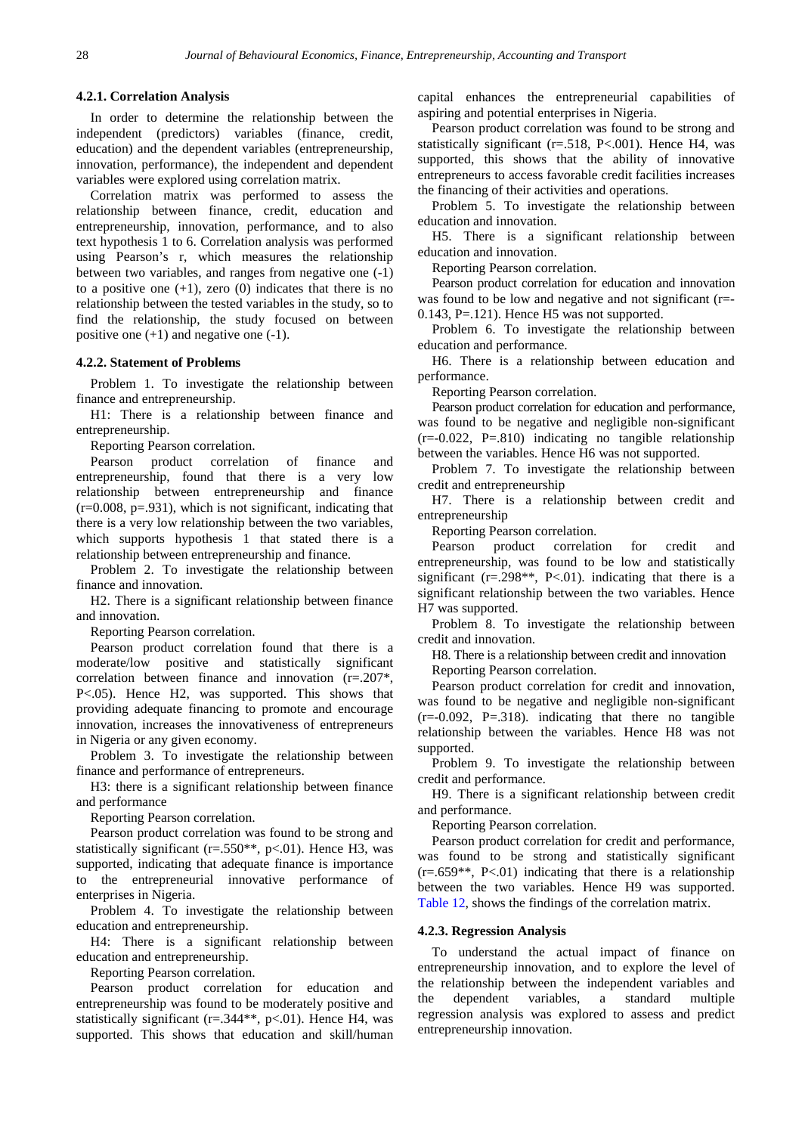#### **4.2.1. Correlation Analysis**

In order to determine the relationship between the independent (predictors) variables (finance, credit, education) and the dependent variables (entrepreneurship, innovation, performance), the independent and dependent variables were explored using correlation matrix.

Correlation matrix was performed to assess the relationship between finance, credit, education and entrepreneurship, innovation, performance, and to also text hypothesis 1 to 6. Correlation analysis was performed using Pearson's r, which measures the relationship between two variables, and ranges from negative one (-1) to a positive one  $(+1)$ , zero  $(0)$  indicates that there is no relationship between the tested variables in the study, so to find the relationship, the study focused on between positive one  $(+1)$  and negative one  $(-1)$ .

#### **4.2.2. Statement of Problems**

Problem 1. To investigate the relationship between finance and entrepreneurship.

H1: There is a relationship between finance and entrepreneurship.

Reporting Pearson correlation.

Pearson product correlation of finance and entrepreneurship, found that there is a very low relationship between entrepreneurship and finance  $(r=0.008, p=.931)$ , which is not significant, indicating that there is a very low relationship between the two variables, which supports hypothesis 1 that stated there is a relationship between entrepreneurship and finance.

Problem 2. To investigate the relationship between finance and innovation.

H2. There is a significant relationship between finance and innovation.

Reporting Pearson correlation.

Pearson product correlation found that there is a moderate/low positive and statistically significant correlation between finance and innovation (r=.207\*, P<.05). Hence H2, was supported. This shows that providing adequate financing to promote and encourage innovation, increases the innovativeness of entrepreneurs in Nigeria or any given economy.

Problem 3. To investigate the relationship between finance and performance of entrepreneurs.

H3: there is a significant relationship between finance and performance

Reporting Pearson correlation.

Pearson product correlation was found to be strong and statistically significant ( $r = .550**$ ,  $p < .01$ ). Hence H3, was supported, indicating that adequate finance is importance to the entrepreneurial innovative performance of enterprises in Nigeria.

Problem 4. To investigate the relationship between education and entrepreneurship.

H4: There is a significant relationship between education and entrepreneurship.

Reporting Pearson correlation.

Pearson product correlation for education and entrepreneurship was found to be moderately positive and statistically significant (r=.344\*\*, p<.01). Hence H4, was supported. This shows that education and skill/human capital enhances the entrepreneurial capabilities of aspiring and potential enterprises in Nigeria.

Pearson product correlation was found to be strong and statistically significant (r=.518, P<.001). Hence H4, was supported, this shows that the ability of innovative entrepreneurs to access favorable credit facilities increases the financing of their activities and operations.

Problem 5. To investigate the relationship between education and innovation.

H5. There is a significant relationship between education and innovation.

Reporting Pearson correlation.

Pearson product correlation for education and innovation was found to be low and negative and not significant (r=-0.143, P=.121). Hence H5 was not supported.

Problem 6. To investigate the relationship between education and performance.

H6. There is a relationship between education and performance.

Reporting Pearson correlation.

Pearson product correlation for education and performance, was found to be negative and negligible non-significant  $(r=-0.022, P=.810)$  indicating no tangible relationship between the variables. Hence H6 was not supported.

Problem 7. To investigate the relationship between credit and entrepreneurship

H7. There is a relationship between credit and entrepreneurship

Reporting Pearson correlation.

Pearson product correlation for credit and entrepreneurship, was found to be low and statistically significant ( $r = .298**$ ,  $P < .01$ ). indicating that there is a significant relationship between the two variables. Hence H7 was supported.

Problem 8. To investigate the relationship between credit and innovation.

H8. There is a relationship between credit and innovation Reporting Pearson correlation.

Pearson product correlation for credit and innovation, was found to be negative and negligible non-significant  $(r=-0.092, P=.318)$ . indicating that there no tangible relationship between the variables. Hence H8 was not supported.

Problem 9. To investigate the relationship between credit and performance.

H9. There is a significant relationship between credit and performance.

Reporting Pearson correlation.

Pearson product correlation for credit and performance, was found to be strong and statistically significant  $(r=.659**, P<.01)$  indicating that there is a relationship between the two variables. Hence H9 was supported. [Table 12,](#page-13-0) shows the findings of the correlation matrix.

#### **4.2.3. Regression Analysis**

To understand the actual impact of finance on entrepreneurship innovation, and to explore the level of the relationship between the independent variables and the dependent variables, a standard multiple regression analysis was explored to assess and predict entrepreneurship innovation.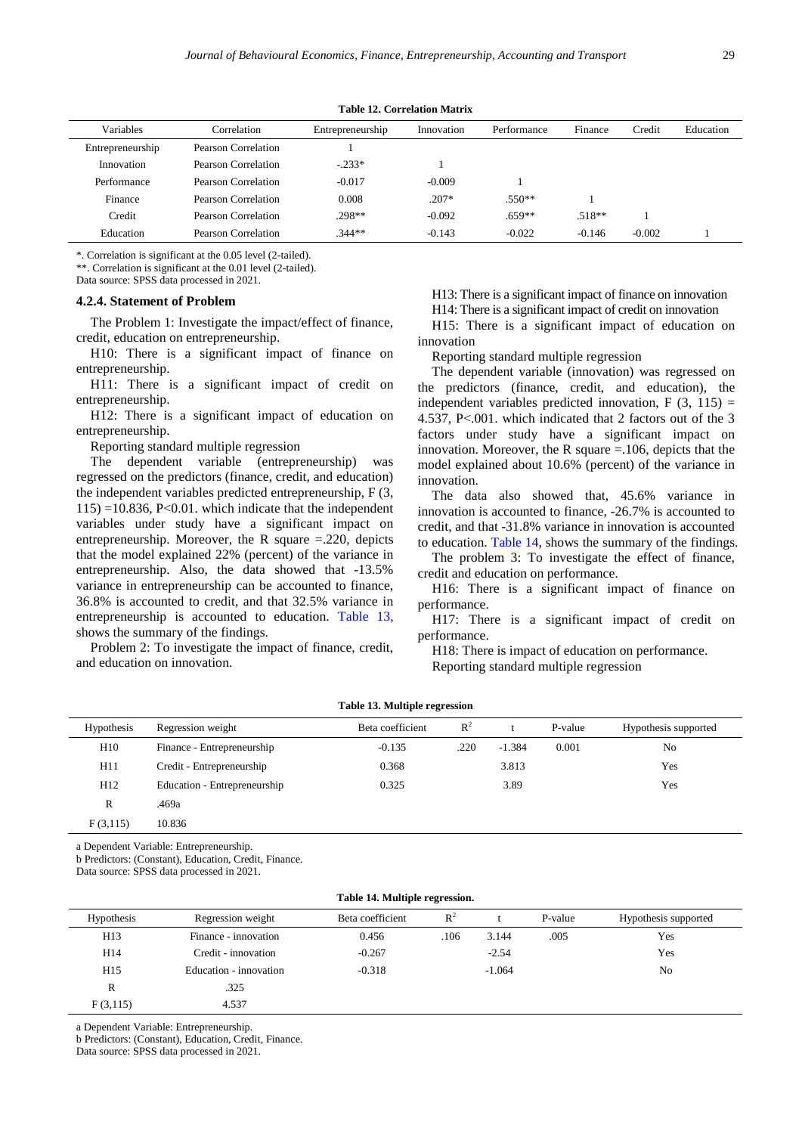<span id="page-13-0"></span>

| Variables        | Correlation         | Entrepreneurship | Innovation | Performance | Finance  | Credit   | Education |
|------------------|---------------------|------------------|------------|-------------|----------|----------|-----------|
| Entrepreneurship | Pearson Correlation |                  |            |             |          |          |           |
| Innovation       | Pearson Correlation | $-.233*$         |            |             |          |          |           |
| Performance      | Pearson Correlation | $-0.017$         | $-0.009$   |             |          |          |           |
| Finance          | Pearson Correlation | 0.008            | $.207*$    | $.550**$    |          |          |           |
| Credit           | Pearson Correlation | .298**           | $-0.092$   | $.659**$    | $.518**$ |          |           |
| Education        | Pearson Correlation | $.344**$         | $-0.143$   | $-0.022$    | $-0.146$ | $-0.002$ |           |

**Table 12. Correlation Matrix**

\*. Correlation is significant at the 0.05 level (2-tailed).

\*\*. Correlation is significant at the 0.01 level (2-tailed). Data source: SPSS data processed in 2021.

#### **4.2.4. Statement of Problem**

The Problem 1: Investigate the impact/effect of finance, credit, education on entrepreneurship.

H10: There is a significant impact of finance on entrepreneurship.

H11: There is a significant impact of credit on entrepreneurship.

H12: There is a significant impact of education on entrepreneurship.

Reporting standard multiple regression

The dependent variable (entrepreneurship) was regressed on the predictors (finance, credit, and education) the independent variables predicted entrepreneurship, F (3,  $115$ ) =10.836, P<0.01. which indicate that the independent variables under study have a significant impact on entrepreneurship. Moreover, the R square  $=$  220, depicts that the model explained 22% (percent) of the variance in entrepreneurship. Also, the data showed that -13.5% variance in entrepreneurship can be accounted to finance, 36.8% is accounted to credit, and that 32.5% variance in entrepreneurship is accounted to education. [Table 13,](#page-13-1) shows the summary of the findings.

Problem 2: To investigate the impact of finance, credit, and education on innovation.

H13: There is a significant impact of finance on innovation

H14: There is a significant impact of credit on innovation

H15: There is a significant impact of education on innovation

Reporting standard multiple regression

The dependent variable (innovation) was regressed on the predictors (finance, credit, and education), the independent variables predicted innovation,  $F(3, 115) =$ 4.537, P<.001. which indicated that 2 factors out of the 3 factors under study have a significant impact on innovation. Moreover, the R square  $=$  106, depicts that the model explained about 10.6% (percent) of the variance in innovation.

The data also showed that, 45.6% variance in innovation is accounted to finance, -26.7% is accounted to credit, and that -31.8% variance in innovation is accounted to education. [Table 14,](#page-13-2) shows the summary of the findings.

The problem 3: To investigate the effect of finance, credit and education on performance.

H16: There is a significant impact of finance on performance.

H17: There is a significant impact of credit on performance.

H18: There is impact of education on performance.

Reporting standard multiple regression

<span id="page-13-1"></span>

| <b>Hypothesis</b> | Regression weight            | Beta coefficient | $R^2$ |          | P-value | Hypothesis supported |  |
|-------------------|------------------------------|------------------|-------|----------|---------|----------------------|--|
| H10               | Finance - Entrepreneurship   | $-0.135$         | .220  | $-1.384$ | 0.001   | N <sub>0</sub>       |  |
| H11               | Credit - Entrepreneurship    | 0.368            |       | 3.813    |         | Yes                  |  |
| H <sub>12</sub>   | Education - Entrepreneurship | 0.325            |       | 3.89     |         | Yes                  |  |
| R                 | .469a                        |                  |       |          |         |                      |  |
| F(3,115)          | 10.836                       |                  |       |          |         |                      |  |

**Table 13. Multiple regression**

a Dependent Variable: Entrepreneurship.

b Predictors: (Constant), Education, Credit, Finance.

Data source: SPSS data processed in 2021.

<span id="page-13-2"></span>

| Table 14. Multiple regression. |                        |                  |       |          |         |                      |
|--------------------------------|------------------------|------------------|-------|----------|---------|----------------------|
| <b>Hypothesis</b>              | Regression weight      | Beta coefficient | $R^2$ |          | P-value | Hypothesis supported |
| H <sub>13</sub>                | Finance - innovation   | 0.456            | .106  | 3.144    | .005    | Yes                  |
| H14                            | Credit - innovation    | $-0.267$         |       | $-2.54$  |         | Yes                  |
| H <sub>15</sub>                | Education - innovation | $-0.318$         |       | $-1.064$ |         | N <sub>o</sub>       |
| R                              | .325                   |                  |       |          |         |                      |
| F(3,115)                       | 4.537                  |                  |       |          |         |                      |

a Dependent Variable: Entrepreneurship.

b Predictors: (Constant), Education, Credit, Finance.

Data source: SPSS data processed in 2021.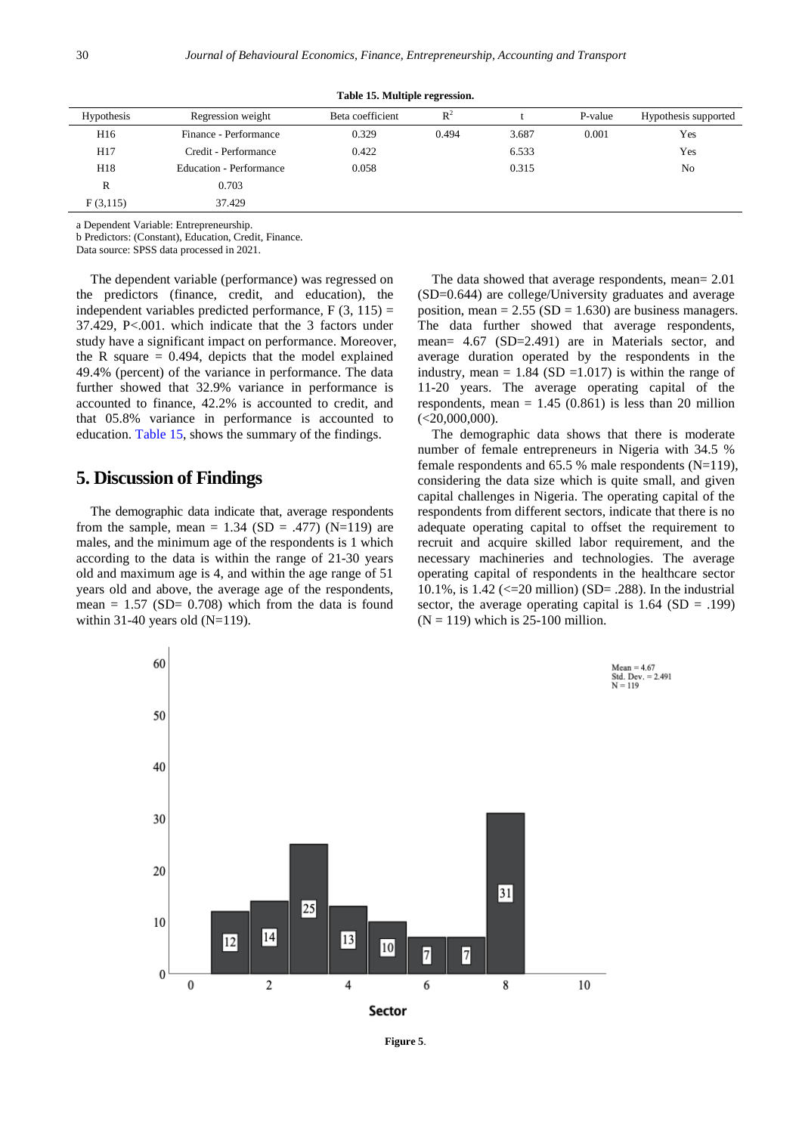<span id="page-14-0"></span>

| Hypothesis      | Regression weight       | Beta coefficient | $R^2$ |       | P-value | Hypothesis supported |
|-----------------|-------------------------|------------------|-------|-------|---------|----------------------|
| H <sub>16</sub> | Finance - Performance   | 0.329            | 0.494 | 3.687 | 0.001   | Yes                  |
| H <sub>17</sub> | Credit - Performance    | 0.422            |       | 6.533 |         | Yes                  |
| H18             | Education - Performance | 0.058            |       | 0.315 |         | N <sub>0</sub>       |
| R               | 0.703                   |                  |       |       |         |                      |
| F(3,115)        | 37.429                  |                  |       |       |         |                      |

**Table 15. Multiple regression.**

a Dependent Variable: Entrepreneurship.

b Predictors: (Constant), Education, Credit, Finance.

Data source: SPSS data processed in 2021.

The dependent variable (performance) was regressed on the predictors (finance, credit, and education), the independent variables predicted performance,  $F(3, 115) =$ 37.429, P<.001. which indicate that the 3 factors under study have a significant impact on performance. Moreover, the R square  $= 0.494$ , depicts that the model explained 49.4% (percent) of the variance in performance. The data further showed that 32.9% variance in performance is accounted to finance, 42.2% is accounted to credit, and that 05.8% variance in performance is accounted to education. [Table 15,](#page-14-0) shows the summary of the findings.

# **5. Discussion of Findings**

The demographic data indicate that, average respondents from the sample, mean =  $1.34$  (SD = .477) (N=119) are males, and the minimum age of the respondents is 1 which according to the data is within the range of 21-30 years old and maximum age is 4, and within the age range of 51 years old and above, the average age of the respondents, mean =  $1.57$  (SD= 0.708) which from the data is found within 31-40 years old  $(N=119)$ .

The data showed that average respondents, mean= 2.01 (SD=0.644) are college/University graduates and average position, mean =  $2.55$  (SD = 1.630) are business managers. The data further showed that average respondents, mean= 4.67 (SD=2.491) are in Materials sector, and average duration operated by the respondents in the industry, mean =  $1.84$  (SD =  $1.017$ ) is within the range of 11-20 years. The average operating capital of the respondents, mean  $= 1.45$  (0.861) is less than 20 million  $(<20,000,000)$ .

The demographic data shows that there is moderate number of female entrepreneurs in Nigeria with 34.5 % female respondents and  $65.5 %$  male respondents (N=119), considering the data size which is quite small, and given capital challenges in Nigeria. The operating capital of the respondents from different sectors, indicate that there is no adequate operating capital to offset the requirement to recruit and acquire skilled labor requirement, and the necessary machineries and technologies. The average operating capital of respondents in the healthcare sector 10.1%, is  $1.42 \leq z = 20$  million) (SD= .288). In the industrial sector, the average operating capital is  $1.64$  (SD = .199)  $(N = 119)$  which is 25-100 million.



**Figure 5**.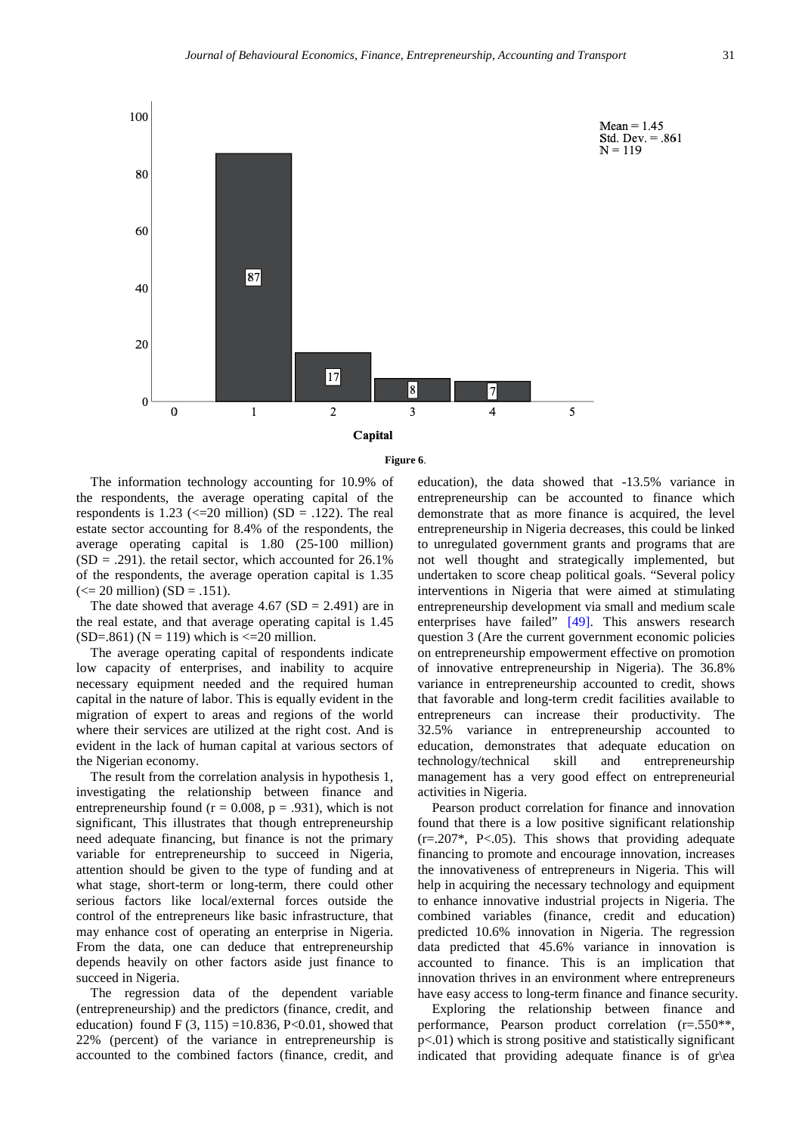



The information technology accounting for 10.9% of the respondents, the average operating capital of the respondents is  $1.23 \leq l \leq 20$  million) (SD = .122). The real estate sector accounting for 8.4% of the respondents, the average operating capital is 1.80 (25-100 million)  $(SD = .291)$ . the retail sector, which accounted for 26.1% of the respondents, the average operation capital is 1.35  $\left( \le 20 \right)$  million) (SD = .151).

The date showed that average  $4.67$  (SD = 2.491) are in the real estate, and that average operating capital is 1.45 (SD=.861) ( $N = 119$ ) which is <=20 million.

The average operating capital of respondents indicate low capacity of enterprises, and inability to acquire necessary equipment needed and the required human capital in the nature of labor. This is equally evident in the migration of expert to areas and regions of the world where their services are utilized at the right cost. And is evident in the lack of human capital at various sectors of the Nigerian economy.

The result from the correlation analysis in hypothesis 1, investigating the relationship between finance and entrepreneurship found ( $r = 0.008$ ,  $p = .931$ ), which is not significant, This illustrates that though entrepreneurship need adequate financing, but finance is not the primary variable for entrepreneurship to succeed in Nigeria, attention should be given to the type of funding and at what stage, short-term or long-term, there could other serious factors like local/external forces outside the control of the entrepreneurs like basic infrastructure, that may enhance cost of operating an enterprise in Nigeria. From the data, one can deduce that entrepreneurship depends heavily on other factors aside just finance to succeed in Nigeria.

The regression data of the dependent variable (entrepreneurship) and the predictors (finance, credit, and education) found F  $(3, 115) = 10.836$ , P<0.01, showed that 22% (percent) of the variance in entrepreneurship is accounted to the combined factors (finance, credit, and education), the data showed that -13.5% variance in entrepreneurship can be accounted to finance which demonstrate that as more finance is acquired, the level entrepreneurship in Nigeria decreases, this could be linked to unregulated government grants and programs that are not well thought and strategically implemented, but undertaken to score cheap political goals. "Several policy interventions in Nigeria that were aimed at stimulating entrepreneurship development via small and medium scale enterprises have failed" [\[49\].](#page-19-27) This answers research question 3 (Are the current government economic policies on entrepreneurship empowerment effective on promotion of innovative entrepreneurship in Nigeria). The 36.8% variance in entrepreneurship accounted to credit, shows that favorable and long-term credit facilities available to entrepreneurs can increase their productivity. The 32.5% variance in entrepreneurship accounted to education, demonstrates that adequate education on technology/technical skill and entrepreneurship management has a very good effect on entrepreneurial activities in Nigeria.

Pearson product correlation for finance and innovation found that there is a low positive significant relationship  $(r=.207^*$ , P<.05). This shows that providing adequate financing to promote and encourage innovation, increases the innovativeness of entrepreneurs in Nigeria. This will help in acquiring the necessary technology and equipment to enhance innovative industrial projects in Nigeria. The combined variables (finance, credit and education) predicted 10.6% innovation in Nigeria. The regression data predicted that 45.6% variance in innovation is accounted to finance. This is an implication that innovation thrives in an environment where entrepreneurs have easy access to long-term finance and finance security.

Exploring the relationship between finance and performance, Pearson product correlation (r=.550\*\*, p<.01) which is strong positive and statistically significant indicated that providing adequate finance is of gr\ea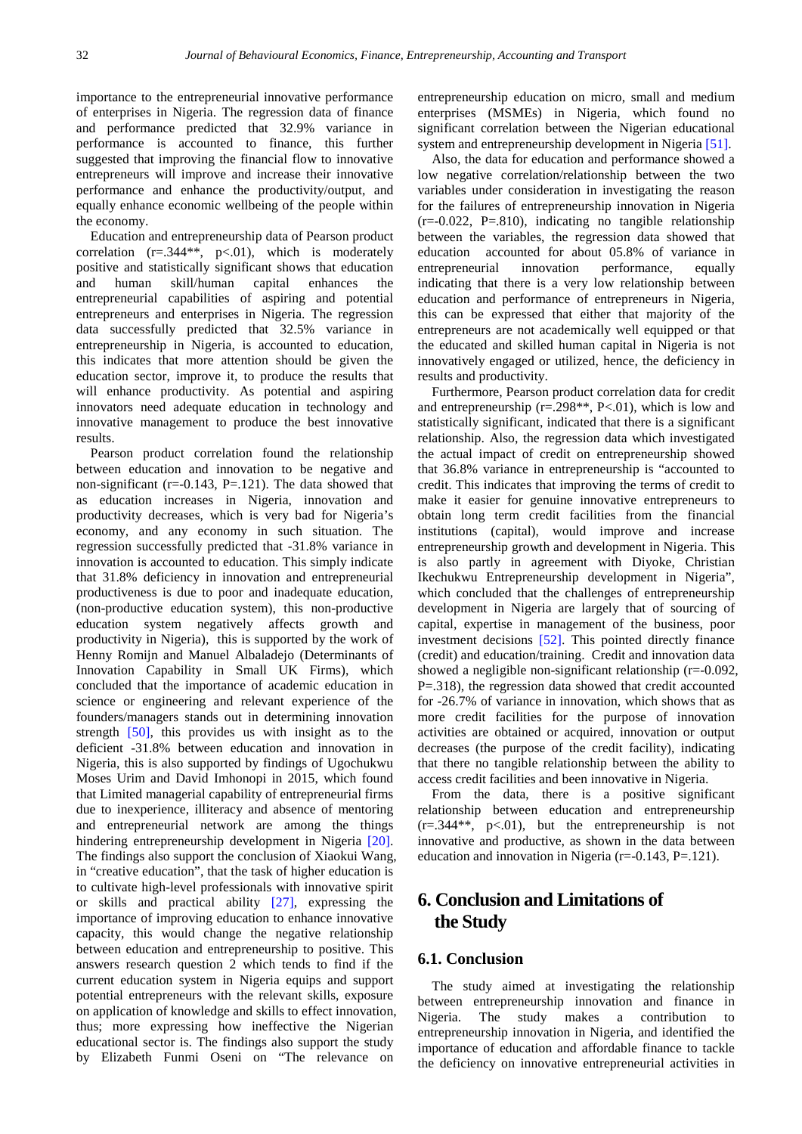importance to the entrepreneurial innovative performance of enterprises in Nigeria. The regression data of finance and performance predicted that 32.9% variance in performance is accounted to finance, this further suggested that improving the financial flow to innovative entrepreneurs will improve and increase their innovative performance and enhance the productivity/output, and equally enhance economic wellbeing of the people within the economy.

Education and entrepreneurship data of Pearson product correlation  $(r=.344**, p<.01)$ , which is moderately positive and statistically significant shows that education and human skill/human capital enhances the entrepreneurial capabilities of aspiring and potential entrepreneurs and enterprises in Nigeria. The regression data successfully predicted that 32.5% variance in entrepreneurship in Nigeria, is accounted to education, this indicates that more attention should be given the education sector, improve it, to produce the results that will enhance productivity. As potential and aspiring innovators need adequate education in technology and innovative management to produce the best innovative results.

Pearson product correlation found the relationship between education and innovation to be negative and non-significant ( $r=-0.143$ ,  $P=-121$ ). The data showed that as education increases in Nigeria, innovation and productivity decreases, which is very bad for Nigeria's economy, and any economy in such situation. The regression successfully predicted that -31.8% variance in innovation is accounted to education. This simply indicate that 31.8% deficiency in innovation and entrepreneurial productiveness is due to poor and inadequate education, (non-productive education system), this non-productive education system negatively affects growth and productivity in Nigeria), this is supported by the work of Henny Romijn and Manuel Albaladejo (Determinants of Innovation Capability in Small UK Firms), which concluded that the importance of academic education in science or engineering and relevant experience of the founders/managers stands out in determining innovation strength [\[50\],](#page-19-28) this provides us with insight as to the deficient -31.8% between education and innovation in Nigeria, this is also supported by findings of Ugochukwu Moses Urim and David Imhonopi in 2015, which found that Limited managerial capability of entrepreneurial firms due to inexperience, illiteracy and absence of mentoring and entrepreneurial network are among the things hindering entrepreneurship development in Nigeria [\[20\].](#page-18-19) The findings also support the conclusion of Xiaokui Wang, in "creative education", that the task of higher education is to cultivate high-level professionals with innovative spirit or skills and practical ability [\[27\],](#page-19-5) expressing the importance of improving education to enhance innovative capacity, this would change the negative relationship between education and entrepreneurship to positive. This answers research question 2 which tends to find if the current education system in Nigeria equips and support potential entrepreneurs with the relevant skills, exposure on application of knowledge and skills to effect innovation, thus; more expressing how ineffective the Nigerian educational sector is. The findings also support the study by Elizabeth Funmi Oseni on "The relevance on

entrepreneurship education on micro, small and medium enterprises (MSMEs) in Nigeria, which found no significant correlation between the Nigerian educational system and entrepreneurship development in Nigeria [\[51\].](#page-19-29)

Also, the data for education and performance showed a low negative correlation/relationship between the two variables under consideration in investigating the reason for the failures of entrepreneurship innovation in Nigeria (r=-0.022, P=.810), indicating no tangible relationship between the variables, the regression data showed that education accounted for about 05.8% of variance in entrepreneurial innovation performance, equally indicating that there is a very low relationship between education and performance of entrepreneurs in Nigeria, this can be expressed that either that majority of the entrepreneurs are not academically well equipped or that the educated and skilled human capital in Nigeria is not innovatively engaged or utilized, hence, the deficiency in results and productivity.

Furthermore, Pearson product correlation data for credit and entrepreneurship  $(r=.298**, P<.01)$ , which is low and statistically significant, indicated that there is a significant relationship. Also, the regression data which investigated the actual impact of credit on entrepreneurship showed that 36.8% variance in entrepreneurship is "accounted to credit. This indicates that improving the terms of credit to make it easier for genuine innovative entrepreneurs to obtain long term credit facilities from the financial institutions (capital), would improve and increase entrepreneurship growth and development in Nigeria. This is also partly in agreement with Diyoke, Christian Ikechukwu Entrepreneurship development in Nigeria", which concluded that the challenges of entrepreneurship development in Nigeria are largely that of sourcing of capital, expertise in management of the business, poor investment decisions [\[52\].](#page-19-30) This pointed directly finance (credit) and education/training. Credit and innovation data showed a negligible non-significant relationship (r=-0.092, P=.318), the regression data showed that credit accounted for -26.7% of variance in innovation, which shows that as more credit facilities for the purpose of innovation activities are obtained or acquired, innovation or output decreases (the purpose of the credit facility), indicating that there no tangible relationship between the ability to access credit facilities and been innovative in Nigeria.

From the data, there is a positive significant relationship between education and entrepreneurship  $(r=.344**, p<.01)$ , but the entrepreneurship is not innovative and productive, as shown in the data between education and innovation in Nigeria ( $r = -0.143$ ,  $P = .121$ ).

# **6. Conclusion and Limitations of the Study**

### **6.1. Conclusion**

The study aimed at investigating the relationship between entrepreneurship innovation and finance in Nigeria. The study makes a contribution to entrepreneurship innovation in Nigeria, and identified the importance of education and affordable finance to tackle the deficiency on innovative entrepreneurial activities in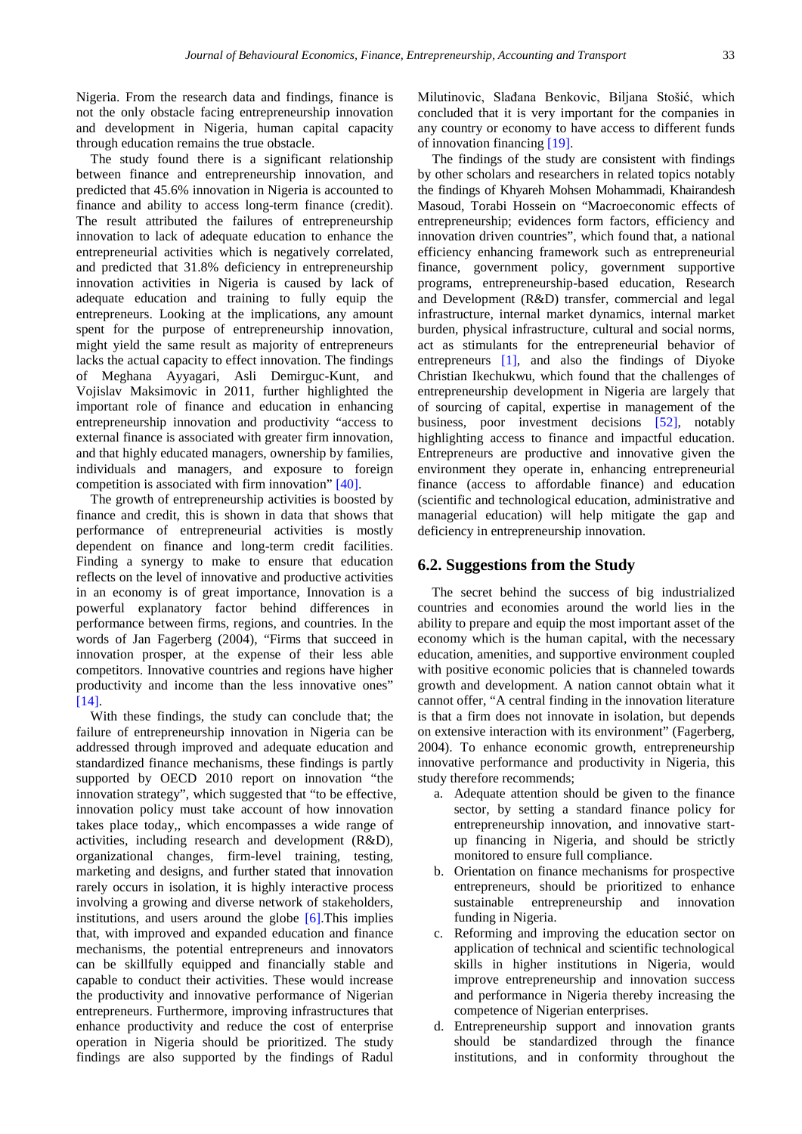Nigeria. From the research data and findings, finance is not the only obstacle facing entrepreneurship innovation and development in Nigeria, human capital capacity through education remains the true obstacle.

The study found there is a significant relationship between finance and entrepreneurship innovation, and predicted that 45.6% innovation in Nigeria is accounted to finance and ability to access long-term finance (credit). The result attributed the failures of entrepreneurship innovation to lack of adequate education to enhance the entrepreneurial activities which is negatively correlated, and predicted that 31.8% deficiency in entrepreneurship innovation activities in Nigeria is caused by lack of adequate education and training to fully equip the entrepreneurs. Looking at the implications, any amount spent for the purpose of entrepreneurship innovation, might yield the same result as majority of entrepreneurs lacks the actual capacity to effect innovation. The findings of Meghana Ayyagari, Asli Demirguc-Kunt, and Vojislav Maksimovic in 2011, further highlighted the important role of finance and education in enhancing entrepreneurship innovation and productivity "access to external finance is associated with greater firm innovation, and that highly educated managers, ownership by families, individuals and managers, and exposure to foreign competition is associated with firm innovation" [\[40\].](#page-19-18)

The growth of entrepreneurship activities is boosted by finance and credit, this is shown in data that shows that performance of entrepreneurial activities is mostly dependent on finance and long-term credit facilities. Finding a synergy to make to ensure that education reflects on the level of innovative and productive activities in an economy is of great importance, Innovation is a powerful explanatory factor behind differences in performance between firms, regions, and countries. In the words of Jan Fagerberg (2004), "Firms that succeed in innovation prosper, at the expense of their less able competitors. Innovative countries and regions have higher productivity and income than the less innovative ones" [\[14\].](#page-18-13)

With these findings, the study can conclude that; the failure of entrepreneurship innovation in Nigeria can be addressed through improved and adequate education and standardized finance mechanisms, these findings is partly supported by OECD 2010 report on innovation "the innovation strategy", which suggested that "to be effective, innovation policy must take account of how innovation takes place today,, which encompasses a wide range of activities, including research and development (R&D), organizational changes, firm-level training, testing, marketing and designs, and further stated that innovation rarely occurs in isolation, it is highly interactive process involving a growing and diverse network of stakeholders, institutions, and users around the globe [\[6\].](#page-18-5)This implies that, with improved and expanded education and finance mechanisms, the potential entrepreneurs and innovators can be skillfully equipped and financially stable and capable to conduct their activities. These would increase the productivity and innovative performance of Nigerian entrepreneurs. Furthermore, improving infrastructures that enhance productivity and reduce the cost of enterprise operation in Nigeria should be prioritized. The study findings are also supported by the findings of Radul

Milutinovic, Slađana Benkovic, Biljana Stošić, which concluded that it is very important for the companies in any country or economy to have access to different funds of innovation financing [\[19\].](#page-18-18)

The findings of the study are consistent with findings by other scholars and researchers in related topics notably the findings of Khyareh Mohsen Mohammadi, Khairandesh Masoud, Torabi Hossein on "Macroeconomic effects of entrepreneurship; evidences form factors, efficiency and innovation driven countries", which found that, a national efficiency enhancing framework such as entrepreneurial finance, government policy, government supportive programs, entrepreneurship-based education, Research and Development (R&D) transfer, commercial and legal infrastructure, internal market dynamics, internal market burden, physical infrastructure, cultural and social norms, act as stimulants for the entrepreneurial behavior of entrepreneurs [\[1\],](#page-18-0) and also the findings of Diyoke Christian Ikechukwu, which found that the challenges of entrepreneurship development in Nigeria are largely that of sourcing of capital, expertise in management of the business, poor investment decisions [\[52\],](#page-19-30) notably highlighting access to finance and impactful education. Entrepreneurs are productive and innovative given the environment they operate in, enhancing entrepreneurial finance (access to affordable finance) and education (scientific and technological education, administrative and managerial education) will help mitigate the gap and deficiency in entrepreneurship innovation.

### **6.2. Suggestions from the Study**

The secret behind the success of big industrialized countries and economies around the world lies in the ability to prepare and equip the most important asset of the economy which is the human capital, with the necessary education, amenities, and supportive environment coupled with positive economic policies that is channeled towards growth and development. A nation cannot obtain what it cannot offer, "A central finding in the innovation literature is that a firm does not innovate in isolation, but depends on extensive interaction with its environment" (Fagerberg, 2004). To enhance economic growth, entrepreneurship innovative performance and productivity in Nigeria, this study therefore recommends;

- a. Adequate attention should be given to the finance sector, by setting a standard finance policy for entrepreneurship innovation, and innovative startup financing in Nigeria, and should be strictly monitored to ensure full compliance.
- b. Orientation on finance mechanisms for prospective entrepreneurs, should be prioritized to enhance sustainable entrepreneurship and innovation funding in Nigeria.
- c. Reforming and improving the education sector on application of technical and scientific technological skills in higher institutions in Nigeria, would improve entrepreneurship and innovation success and performance in Nigeria thereby increasing the competence of Nigerian enterprises.
- d. Entrepreneurship support and innovation grants should be standardized through the finance institutions, and in conformity throughout the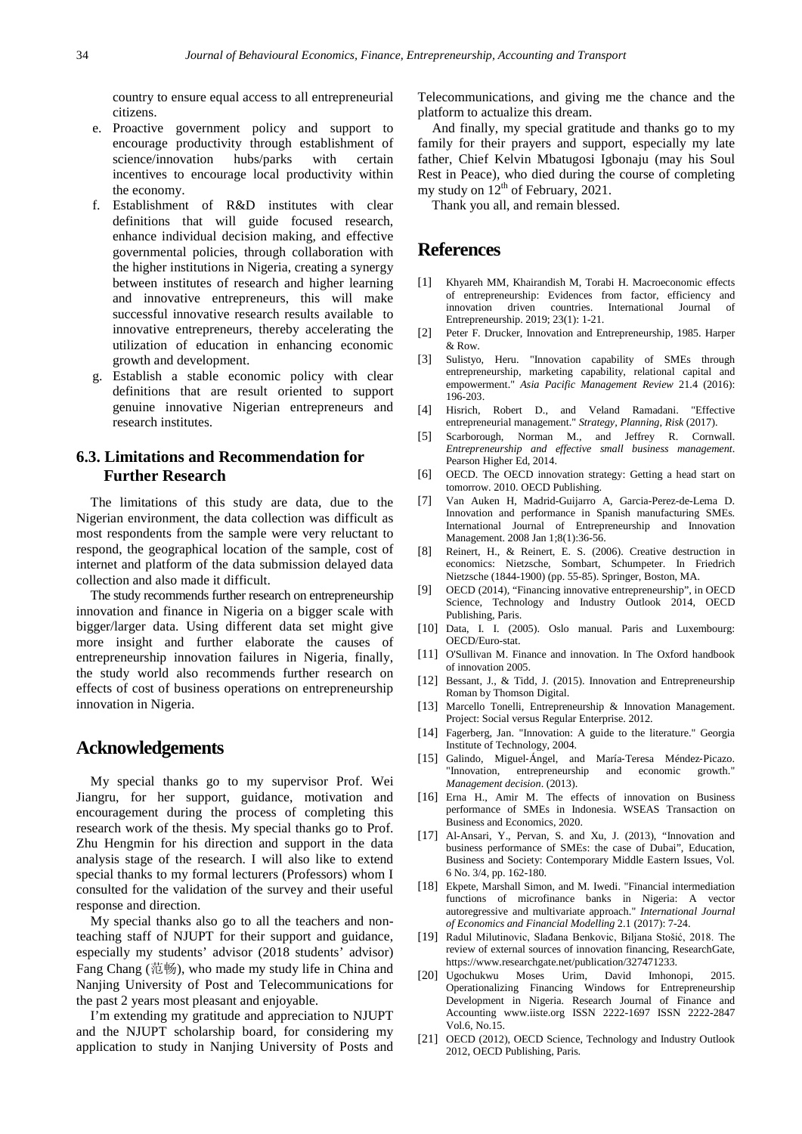country to ensure equal access to all entrepreneurial citizens.

- e. Proactive government policy and support to encourage productivity through establishment of science/innovation hubs/parks with certain incentives to encourage local productivity within the economy.
- f. Establishment of R&D institutes with clear definitions that will guide focused research, enhance individual decision making, and effective governmental policies, through collaboration with the higher institutions in Nigeria, creating a synergy between institutes of research and higher learning and innovative entrepreneurs, this will make successful innovative research results available to innovative entrepreneurs, thereby accelerating the utilization of education in enhancing economic growth and development.
- g. Establish a stable economic policy with clear definitions that are result oriented to support genuine innovative Nigerian entrepreneurs and research institutes.

# **6.3. Limitations and Recommendation for Further Research**

The limitations of this study are data, due to the Nigerian environment, the data collection was difficult as most respondents from the sample were very reluctant to respond, the geographical location of the sample, cost of internet and platform of the data submission delayed data collection and also made it difficult.

The study recommends further research on entrepreneurship innovation and finance in Nigeria on a bigger scale with bigger/larger data. Using different data set might give more insight and further elaborate the causes of entrepreneurship innovation failures in Nigeria, finally, the study world also recommends further research on effects of cost of business operations on entrepreneurship innovation in Nigeria.

# **Acknowledgements**

My special thanks go to my supervisor Prof. Wei Jiangru, for her support, guidance, motivation and encouragement during the process of completing this research work of the thesis. My special thanks go to Prof. Zhu Hengmin for his direction and support in the data analysis stage of the research. I will also like to extend special thanks to my formal lecturers (Professors) whom I consulted for the validation of the survey and their useful response and direction.

My special thanks also go to all the teachers and nonteaching staff of NJUPT for their support and guidance, especially my students' advisor (2018 students' advisor) Fang Chang (范畅), who made my study life in China and Nanjing University of Post and Telecommunications for the past 2 years most pleasant and enjoyable.

I'm extending my gratitude and appreciation to NJUPT and the NJUPT scholarship board, for considering my application to study in Nanjing University of Posts and Telecommunications, and giving me the chance and the platform to actualize this dream.

And finally, my special gratitude and thanks go to my family for their prayers and support, especially my late father, Chief Kelvin Mbatugosi Igbonaju (may his Soul Rest in Peace), who died during the course of completing my study on  $12^{th}$  of February, 2021.

Thank you all, and remain blessed.

# **References**

- <span id="page-18-0"></span>[1] Khyareh MM, Khairandish M, Torabi H. Macroeconomic effects of entrepreneurship: Evidences from factor, efficiency and innovation driven countries. International Journal of Entrepreneurship. 2019; 23(1): 1-21.
- <span id="page-18-1"></span>[2] Peter F. Drucker, Innovation and Entrepreneurship, 1985. Harper & Row.
- <span id="page-18-2"></span>[3] Sulistyo, Heru. "Innovation capability of SMEs through entrepreneurship, marketing capability, relational capital and empowerment." *Asia Pacific Management Review* 21.4 (2016): 196-203.
- <span id="page-18-3"></span>[4] Hisrich, Robert D., and Veland Ramadani. "Effective entrepreneurial management." *Strategy, Planning, Risk* (2017).
- <span id="page-18-4"></span>[5] Scarborough, Norman M., and Jeffrey R. Cornwall. *Entrepreneurship and effective small business management*. Pearson Higher Ed, 2014.
- <span id="page-18-5"></span>[6] OECD. The OECD innovation strategy: Getting a head start on tomorrow. 2010. OECD Publishing.
- <span id="page-18-6"></span>[7] Van Auken H, Madrid-Guijarro A, Garcia-Perez-de-Lema D. Innovation and performance in Spanish manufacturing SMEs. International Journal of Entrepreneurship and Innovation Management. 2008 Jan 1;8(1):36-56.
- <span id="page-18-7"></span>[8] Reinert, H., & Reinert, E. S. (2006). Creative destruction in economics: Nietzsche, Sombart, Schumpeter. In Friedrich Nietzsche (1844-1900) (pp. 55-85). Springer, Boston, MA.
- <span id="page-18-8"></span>[9] OECD (2014), "Financing innovative entrepreneurship", in OECD Science, Technology and Industry Outlook 2014, OECD Publishing, Paris.
- <span id="page-18-9"></span>[10] Data, I. I. (2005). Oslo manual. Paris and Luxembourg: OECD/Euro-stat.
- <span id="page-18-10"></span>[11] O'Sullivan M. Finance and innovation. In The Oxford handbook of innovation 2005.
- <span id="page-18-11"></span>[12] Bessant, J., & Tidd, J. (2015). Innovation and Entrepreneurship Roman by Thomson Digital.
- <span id="page-18-12"></span>[13] Marcello Tonelli, Entrepreneurship & Innovation Management. Project: Social versus Regular Enterprise. 2012.
- <span id="page-18-13"></span>[14] Fagerberg, Jan. "Innovation: A guide to the literature." Georgia Institute of Technology, 2004.
- <span id="page-18-14"></span>[15] Galindo, Miguel‐Ángel, and María‐Teresa Méndez‐Picazo. "Innovation, entrepreneurship *Management decision*. (2013).
- <span id="page-18-15"></span>[16] Erna H., Amir M. The effects of innovation on Business performance of SMEs in Indonesia. WSEAS Transaction on Business and Economics, 2020.
- <span id="page-18-16"></span>[17] Al-Ansari, Y., Pervan, S. and Xu, J. (2013), "Innovation and business performance of SMEs: the case of Dubai", Education, Business and Society: Contemporary Middle Eastern Issues, Vol. 6 No. 3/4, pp. 162-180.
- <span id="page-18-17"></span>[18] Ekpete, Marshall Simon, and M. Iwedi. "Financial intermediation functions of microfinance banks in Nigeria: A vector autoregressive and multivariate approach." *International Journal of Economics and Financial Modelling* 2.1 (2017): 7-24.
- <span id="page-18-18"></span>[19] Radul Milutinovic, Slađana Benkovic, Biljana Stošić, 2018. The review of external sources of innovation financing, ResearchGate, https://www.researchgate.net/publication/327471233.
- <span id="page-18-19"></span>[20] Ugochukwu Moses Urim, David Imhonopi, 2015. Operationalizing Financing Windows for Entrepreneurship Development in Nigeria. Research Journal of Finance and Accounting www.iiste.org ISSN 2222-1697 ISSN 2222-2847 Vol.6, No.15.
- <span id="page-18-20"></span>[21] OECD (2012), OECD Science, Technology and Industry Outlook 2012, OECD Publishing, Paris.